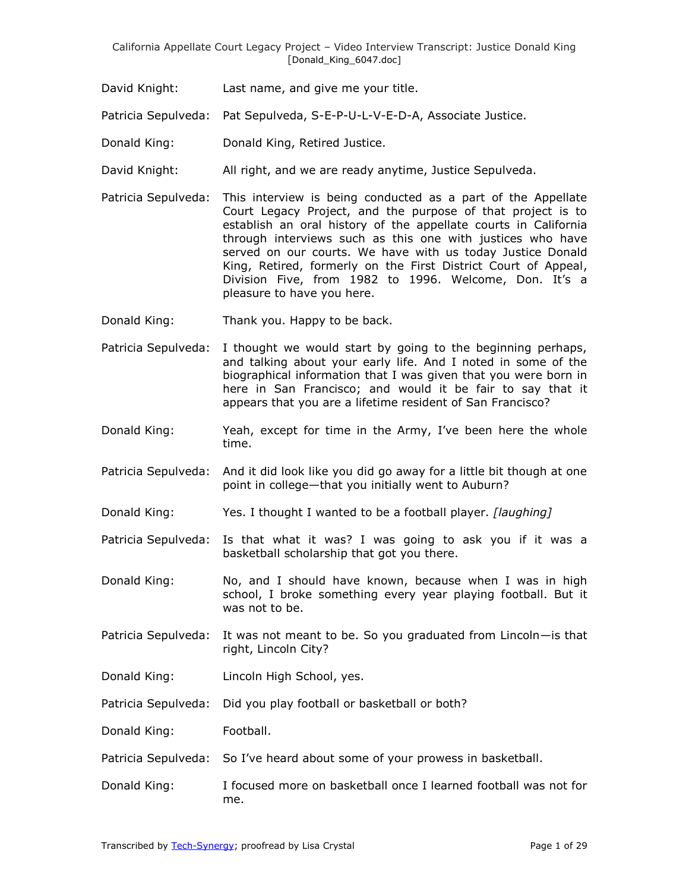David Knight: Last name, and give me your title.

Patricia Sepulveda: Pat Sepulveda, S-E-P-U-L-V-E-D-A, Associate Justice.

- Donald King: Donald King, Retired Justice.
- David Knight: All right, and we are ready anytime, Justice Sepulveda.
- Patricia Sepulveda: This interview is being conducted as a part of the Appellate Court Legacy Project, and the purpose of that project is to establish an oral history of the appellate courts in California through interviews such as this one with justices who have served on our courts. We have with us today Justice Donald King, Retired, formerly on the First District Court of Appeal, Division Five, from 1982 to 1996. Welcome, Don. It's a pleasure to have you here.
- Donald King: Thank you. Happy to be back.
- Patricia Sepulveda: I thought we would start by going to the beginning perhaps, and talking about your early life. And I noted in some of the biographical information that I was given that you were born in here in San Francisco; and would it be fair to say that it appears that you are a lifetime resident of San Francisco?
- Donald King: Yeah, except for time in the Army, I've been here the whole time.
- Patricia Sepulveda: And it did look like you did go away for a little bit though at one point in college—that you initially went to Auburn?
- Donald King: Yes. I thought I wanted to be a football player. *[laughing]*
- Patricia Sepulveda: Is that what it was? I was going to ask you if it was a basketball scholarship that got you there.
- Donald King: No, and I should have known, because when I was in high school, I broke something every year playing football. But it was not to be.
- Patricia Sepulveda: It was not meant to be. So you graduated from Lincoln—is that right, Lincoln City?
- Donald King: Lincoln High School, yes.
- Patricia Sepulveda: Did you play football or basketball or both?

Donald King: Football.

- Patricia Sepulveda: So I've heard about some of your prowess in basketball.
- Donald King: I focused more on basketball once I learned football was not for me.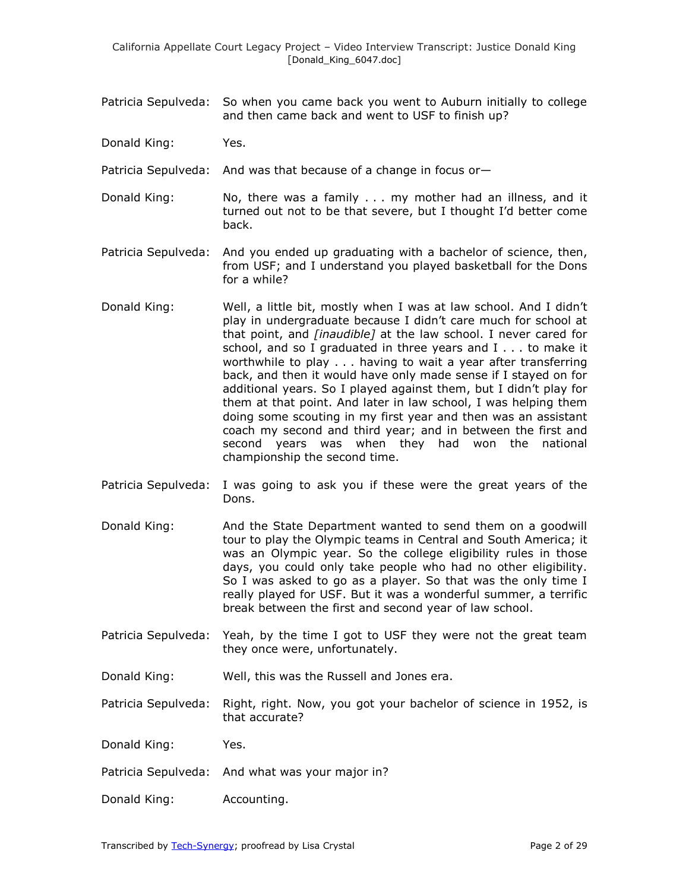Patricia Sepulveda: So when you came back you went to Auburn initially to college and then came back and went to USF to finish up?

Donald King: Yes.

Patricia Sepulveda: And was that because of a change in focus or-

- Donald King: No, there was a family . . . my mother had an illness, and it turned out not to be that severe, but I thought I'd better come back.
- Patricia Sepulveda: And you ended up graduating with a bachelor of science, then, from USF; and I understand you played basketball for the Dons for a while?
- Donald King: Well, a little bit, mostly when I was at law school. And I didn't play in undergraduate because I didn't care much for school at that point, and *[inaudible]* at the law school. I never cared for school, and so I graduated in three years and I . . . to make it worthwhile to play . . . having to wait a year after transferring back, and then it would have only made sense if I stayed on for additional years. So I played against them, but I didn't play for them at that point. And later in law school, I was helping them doing some scouting in my first year and then was an assistant coach my second and third year; and in between the first and second years was when they had won the national championship the second time.
- Patricia Sepulveda: I was going to ask you if these were the great years of the Dons.
- Donald King: And the State Department wanted to send them on a goodwill tour to play the Olympic teams in Central and South America; it was an Olympic year. So the college eligibility rules in those days, you could only take people who had no other eligibility. So I was asked to go as a player. So that was the only time I really played for USF. But it was a wonderful summer, a terrific break between the first and second year of law school.
- Patricia Sepulveda: Yeah, by the time I got to USF they were not the great team they once were, unfortunately.
- Donald King: Well, this was the Russell and Jones era.
- Patricia Sepulveda: Right, right. Now, you got your bachelor of science in 1952, is that accurate?

Donald King: Yes.

- Patricia Sepulveda: And what was your major in?
- Donald King: Accounting.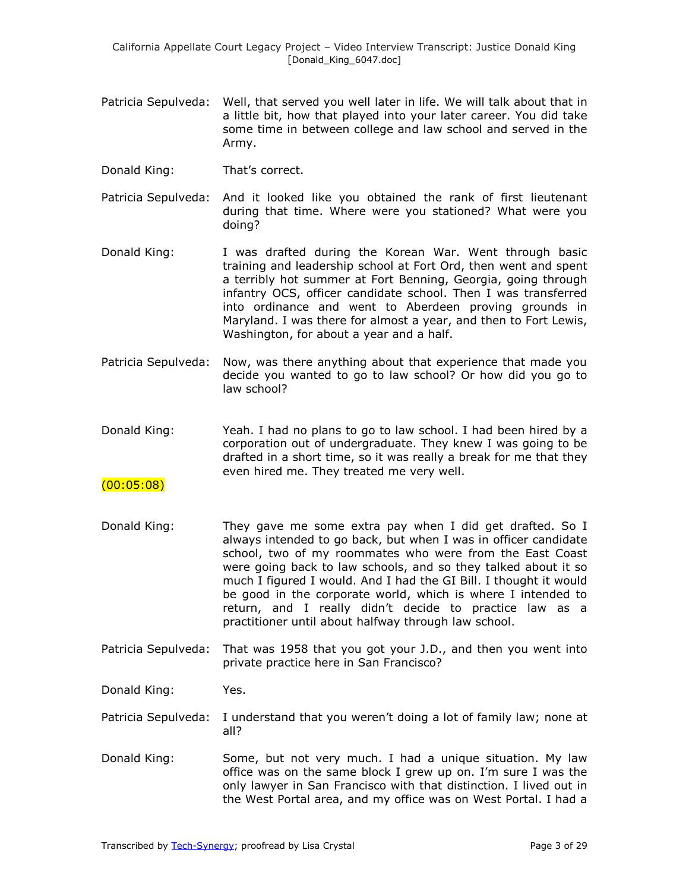- Patricia Sepulveda: Well, that served you well later in life. We will talk about that in a little bit, how that played into your later career. You did take some time in between college and law school and served in the Army.
- Donald King: That's correct.
- Patricia Sepulveda: And it looked like you obtained the rank of first lieutenant during that time. Where were you stationed? What were you doing?
- Donald King: I was drafted during the Korean War. Went through basic training and leadership school at Fort Ord, then went and spent a terribly hot summer at Fort Benning, Georgia, going through infantry OCS, officer candidate school. Then I was transferred into ordinance and went to Aberdeen proving grounds in Maryland. I was there for almost a year, and then to Fort Lewis, Washington, for about a year and a half.
- Patricia Sepulveda: Now, was there anything about that experience that made you decide you wanted to go to law school? Or how did you go to law school?
- Donald King: Yeah. I had no plans to go to law school. I had been hired by a corporation out of undergraduate. They knew I was going to be drafted in a short time, so it was really a break for me that they even hired me. They treated me very well.

### (00:05:08)

- Donald King: They gave me some extra pay when I did get drafted. So I always intended to go back, but when I was in officer candidate school, two of my roommates who were from the East Coast were going back to law schools, and so they talked about it so much I figured I would. And I had the GI Bill. I thought it would be good in the corporate world, which is where I intended to return, and I really didn't decide to practice law as a practitioner until about halfway through law school.
- Patricia Sepulveda: That was 1958 that you got your J.D., and then you went into private practice here in San Francisco?

Donald King: Yes.

- Patricia Sepulveda: I understand that you weren't doing a lot of family law; none at all?
- Donald King: Some, but not very much. I had a unique situation. My law office was on the same block I grew up on. I'm sure I was the only lawyer in San Francisco with that distinction. I lived out in the West Portal area, and my office was on West Portal. I had a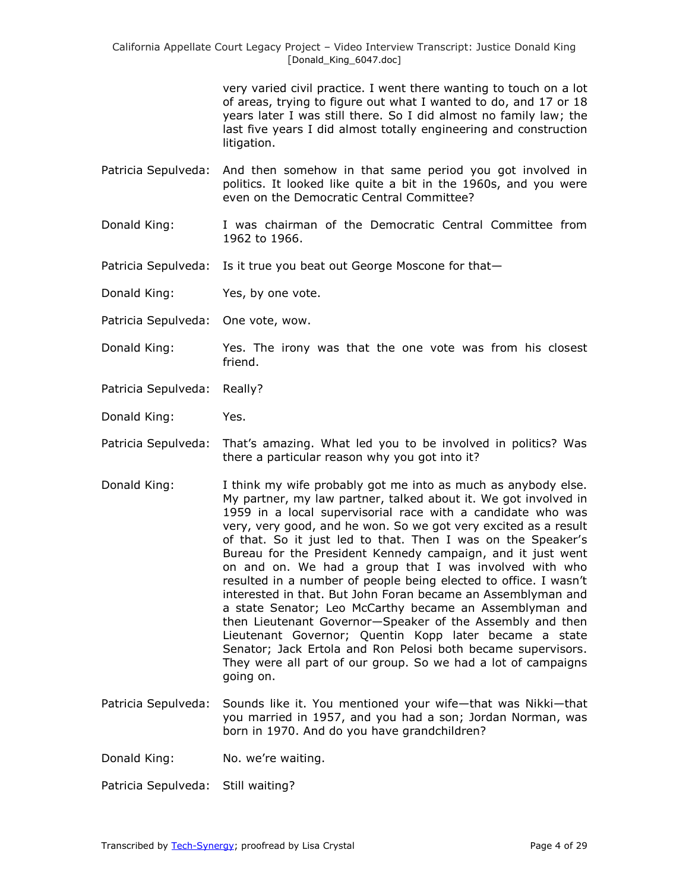> very varied civil practice. I went there wanting to touch on a lot of areas, trying to figure out what I wanted to do, and 17 or 18 years later I was still there. So I did almost no family law; the last five years I did almost totally engineering and construction litigation.

- Patricia Sepulveda: And then somehow in that same period you got involved in politics. It looked like quite a bit in the 1960s, and you were even on the Democratic Central Committee?
- Donald King: I was chairman of the Democratic Central Committee from 1962 to 1966.
- Patricia Sepulveda: Is it true you beat out George Moscone for that-

Donald King: Yes, by one vote.

- Patricia Sepulveda: One vote, wow.
- Donald King: Yes. The irony was that the one vote was from his closest friend.
- Patricia Sepulveda: Really?
- Donald King: Yes.
- Patricia Sepulveda: That's amazing. What led you to be involved in politics? Was there a particular reason why you got into it?
- Donald King: I think my wife probably got me into as much as anybody else. My partner, my law partner, talked about it. We got involved in 1959 in a local supervisorial race with a candidate who was very, very good, and he won. So we got very excited as a result of that. So it just led to that. Then I was on the Speaker's Bureau for the President Kennedy campaign, and it just went on and on. We had a group that I was involved with who resulted in a number of people being elected to office. I wasn't interested in that. But John Foran became an Assemblyman and a state Senator; Leo McCarthy became an Assemblyman and then Lieutenant Governor—Speaker of the Assembly and then Lieutenant Governor; Quentin Kopp later became a state Senator; Jack Ertola and Ron Pelosi both became supervisors. They were all part of our group. So we had a lot of campaigns going on.
- Patricia Sepulveda: Sounds like it. You mentioned your wife—that was Nikki—that you married in 1957, and you had a son; Jordan Norman, was born in 1970. And do you have grandchildren?

Donald King: No. we're waiting.

Patricia Sepulveda: Still waiting?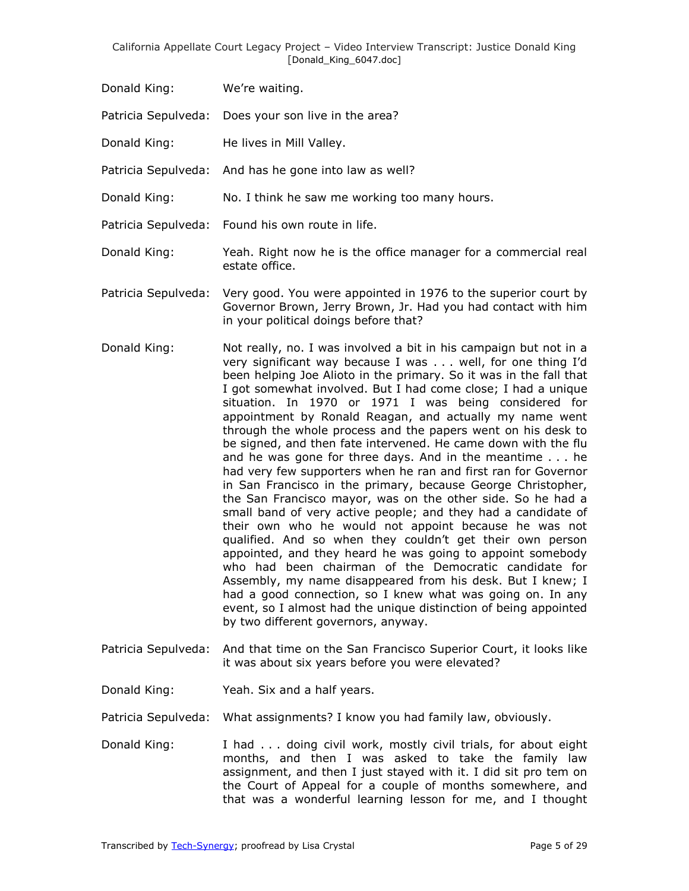Donald King: We're waiting.

Patricia Sepulveda: Does your son live in the area?

Donald King: He lives in Mill Valley.

- Patricia Sepulveda: And has he gone into law as well?
- Donald King: No. I think he saw me working too many hours.
- Patricia Sepulveda: Found his own route in life.
- Donald King: Yeah. Right now he is the office manager for a commercial real estate office.
- Patricia Sepulveda: Very good. You were appointed in 1976 to the superior court by Governor Brown, Jerry Brown, Jr. Had you had contact with him in your political doings before that?
- Donald King: Not really, no. I was involved a bit in his campaign but not in a very significant way because I was . . . well, for one thing I'd been helping Joe Alioto in the primary. So it was in the fall that I got somewhat involved. But I had come close; I had a unique situation. In 1970 or 1971 I was being considered for appointment by Ronald Reagan, and actually my name went through the whole process and the papers went on his desk to be signed, and then fate intervened. He came down with the flu and he was gone for three days. And in the meantime . . . he had very few supporters when he ran and first ran for Governor in San Francisco in the primary, because George Christopher, the San Francisco mayor, was on the other side. So he had a small band of very active people; and they had a candidate of their own who he would not appoint because he was not qualified. And so when they couldn't get their own person appointed, and they heard he was going to appoint somebody who had been chairman of the Democratic candidate for Assembly, my name disappeared from his desk. But I knew; I had a good connection, so I knew what was going on. In any event, so I almost had the unique distinction of being appointed by two different governors, anyway.
- Patricia Sepulveda: And that time on the San Francisco Superior Court, it looks like it was about six years before you were elevated?
- Donald King: Yeah. Six and a half years.

Patricia Sepulveda: What assignments? I know you had family law, obviously.

Donald King: I had . . . doing civil work, mostly civil trials, for about eight months, and then I was asked to take the family law assignment, and then I just stayed with it. I did sit pro tem on the Court of Appeal for a couple of months somewhere, and that was a wonderful learning lesson for me, and I thought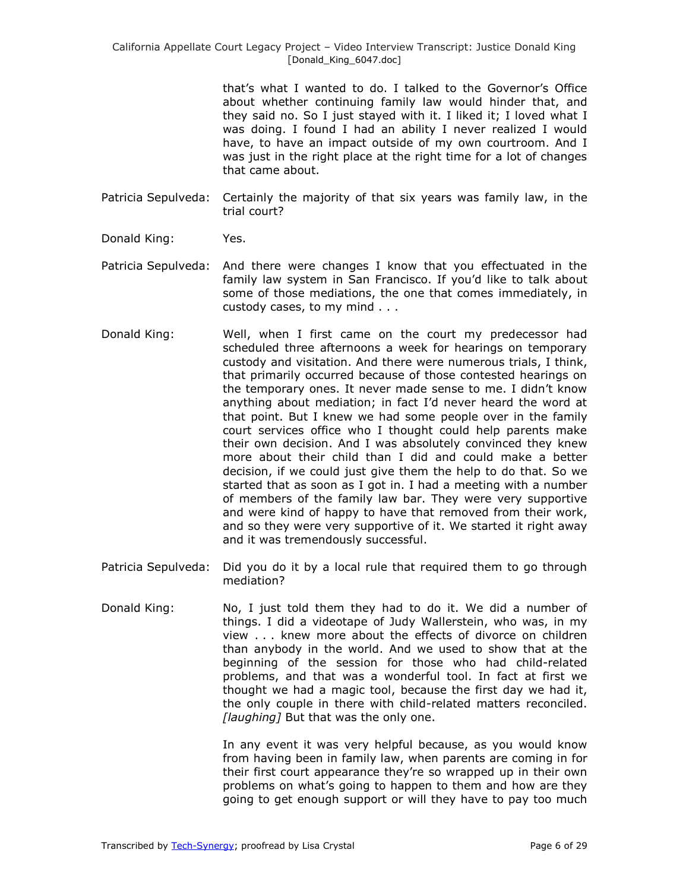that's what I wanted to do. I talked to the Governor's Office about whether continuing family law would hinder that, and they said no. So I just stayed with it. I liked it; I loved what I was doing. I found I had an ability I never realized I would have, to have an impact outside of my own courtroom. And I was just in the right place at the right time for a lot of changes that came about.

- Patricia Sepulveda: Certainly the majority of that six years was family law, in the trial court?
- Donald King: Yes.
- Patricia Sepulveda: And there were changes I know that you effectuated in the family law system in San Francisco. If you'd like to talk about some of those mediations, the one that comes immediately, in custody cases, to my mind . . .
- Donald King: Well, when I first came on the court my predecessor had scheduled three afternoons a week for hearings on temporary custody and visitation. And there were numerous trials, I think, that primarily occurred because of those contested hearings on the temporary ones. It never made sense to me. I didn't know anything about mediation; in fact I'd never heard the word at that point. But I knew we had some people over in the family court services office who I thought could help parents make their own decision. And I was absolutely convinced they knew more about their child than I did and could make a better decision, if we could just give them the help to do that. So we started that as soon as I got in. I had a meeting with a number of members of the family law bar. They were very supportive and were kind of happy to have that removed from their work, and so they were very supportive of it. We started it right away and it was tremendously successful.
- Patricia Sepulveda: Did you do it by a local rule that required them to go through mediation?
- Donald King: No, I just told them they had to do it. We did a number of things. I did a videotape of Judy Wallerstein, who was, in my view . . . knew more about the effects of divorce on children than anybody in the world. And we used to show that at the beginning of the session for those who had child-related problems, and that was a wonderful tool. In fact at first we thought we had a magic tool, because the first day we had it, the only couple in there with child-related matters reconciled. *[laughing]* But that was the only one.

In any event it was very helpful because, as you would know from having been in family law, when parents are coming in for their first court appearance they're so wrapped up in their own problems on what's going to happen to them and how are they going to get enough support or will they have to pay too much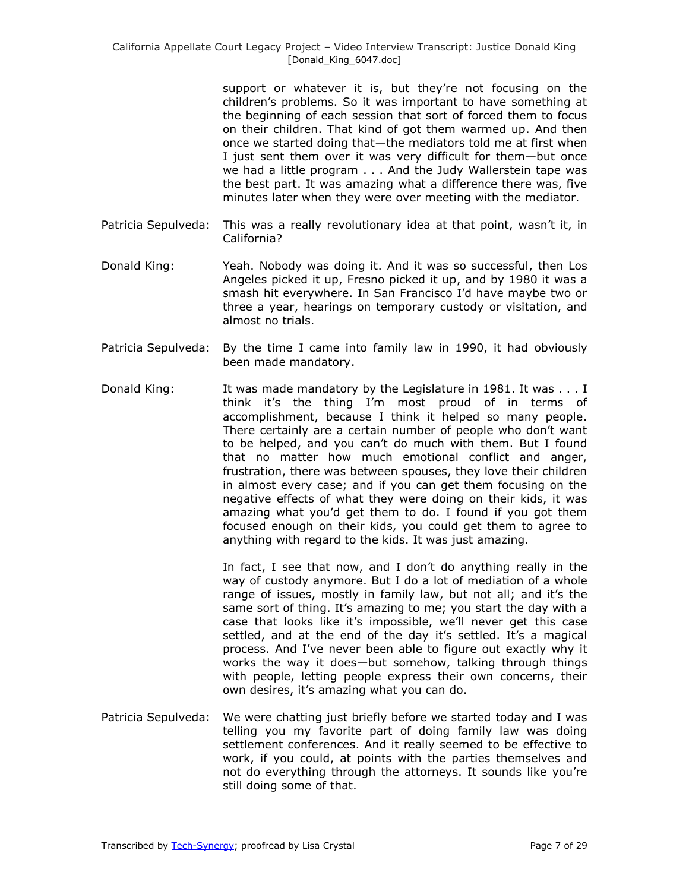support or whatever it is, but they're not focusing on the children's problems. So it was important to have something at the beginning of each session that sort of forced them to focus on their children. That kind of got them warmed up. And then once we started doing that—the mediators told me at first when I just sent them over it was very difficult for them—but once we had a little program . . . And the Judy Wallerstein tape was the best part. It was amazing what a difference there was, five minutes later when they were over meeting with the mediator.

- Patricia Sepulveda: This was a really revolutionary idea at that point, wasn't it, in California?
- Donald King: Yeah. Nobody was doing it. And it was so successful, then Los Angeles picked it up, Fresno picked it up, and by 1980 it was a smash hit everywhere. In San Francisco I'd have maybe two or three a year, hearings on temporary custody or visitation, and almost no trials.
- Patricia Sepulveda: By the time I came into family law in 1990, it had obviously been made mandatory.
- Donald King: It was made mandatory by the Legislature in 1981. It was . . . I think it's the thing I'm most proud of in terms of accomplishment, because I think it helped so many people. There certainly are a certain number of people who don't want to be helped, and you can't do much with them. But I found that no matter how much emotional conflict and anger, frustration, there was between spouses, they love their children in almost every case; and if you can get them focusing on the negative effects of what they were doing on their kids, it was amazing what you'd get them to do. I found if you got them focused enough on their kids, you could get them to agree to anything with regard to the kids. It was just amazing.

In fact, I see that now, and I don't do anything really in the way of custody anymore. But I do a lot of mediation of a whole range of issues, mostly in family law, but not all; and it's the same sort of thing. It's amazing to me; you start the day with a case that looks like it's impossible, we'll never get this case settled, and at the end of the day it's settled. It's a magical process. And I've never been able to figure out exactly why it works the way it does—but somehow, talking through things with people, letting people express their own concerns, their own desires, it's amazing what you can do.

Patricia Sepulveda: We were chatting just briefly before we started today and I was telling you my favorite part of doing family law was doing settlement conferences. And it really seemed to be effective to work, if you could, at points with the parties themselves and not do everything through the attorneys. It sounds like you're still doing some of that.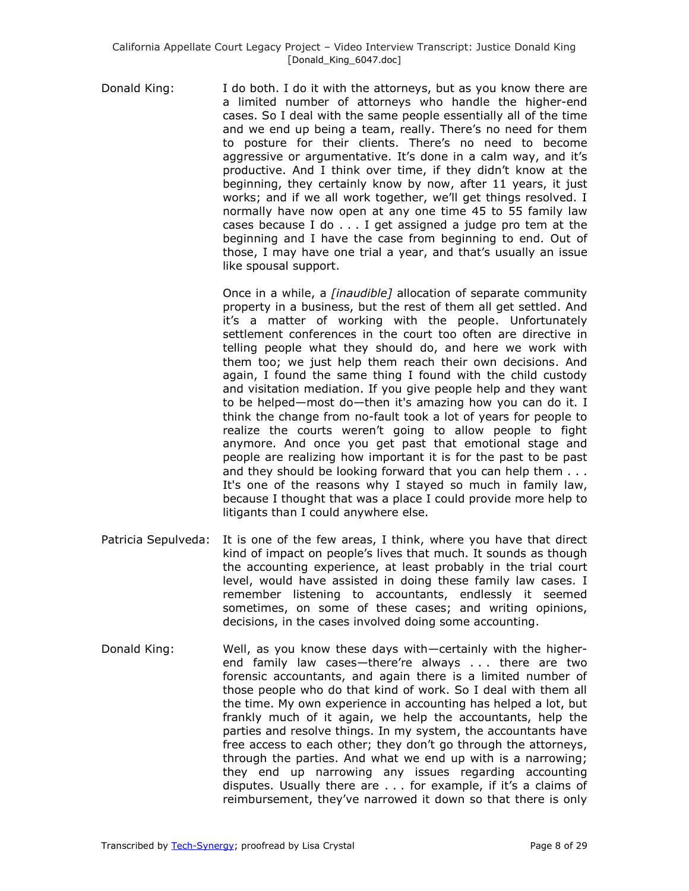Donald King: I do both. I do it with the attorneys, but as you know there are a limited number of attorneys who handle the higher-end cases. So I deal with the same people essentially all of the time and we end up being a team, really. There's no need for them to posture for their clients. There's no need to become aggressive or argumentative. It's done in a calm way, and it's productive. And I think over time, if they didn't know at the beginning, they certainly know by now, after 11 years, it just works; and if we all work together, we'll get things resolved. I normally have now open at any one time 45 to 55 family law cases because I do . . . I get assigned a judge pro tem at the beginning and I have the case from beginning to end. Out of those, I may have one trial a year, and that's usually an issue like spousal support.

> Once in a while, a *[inaudible]* allocation of separate community property in a business, but the rest of them all get settled. And it's a matter of working with the people. Unfortunately settlement conferences in the court too often are directive in telling people what they should do, and here we work with them too; we just help them reach their own decisions. And again, I found the same thing I found with the child custody and visitation mediation. If you give people help and they want to be helped—most do—then it's amazing how you can do it. I think the change from no-fault took a lot of years for people to realize the courts weren't going to allow people to fight anymore. And once you get past that emotional stage and people are realizing how important it is for the past to be past and they should be looking forward that you can help them . . . It's one of the reasons why I stayed so much in family law, because I thought that was a place I could provide more help to litigants than I could anywhere else.

- Patricia Sepulveda: It is one of the few areas, I think, where you have that direct kind of impact on people's lives that much. It sounds as though the accounting experience, at least probably in the trial court level, would have assisted in doing these family law cases. I remember listening to accountants, endlessly it seemed sometimes, on some of these cases; and writing opinions, decisions, in the cases involved doing some accounting.
- Donald King: Well, as you know these days with—certainly with the higherend family law cases—there're always . . . there are two forensic accountants, and again there is a limited number of those people who do that kind of work. So I deal with them all the time. My own experience in accounting has helped a lot, but frankly much of it again, we help the accountants, help the parties and resolve things. In my system, the accountants have free access to each other; they don't go through the attorneys, through the parties. And what we end up with is a narrowing; they end up narrowing any issues regarding accounting disputes. Usually there are . . . for example, if it's a claims of reimbursement, they've narrowed it down so that there is only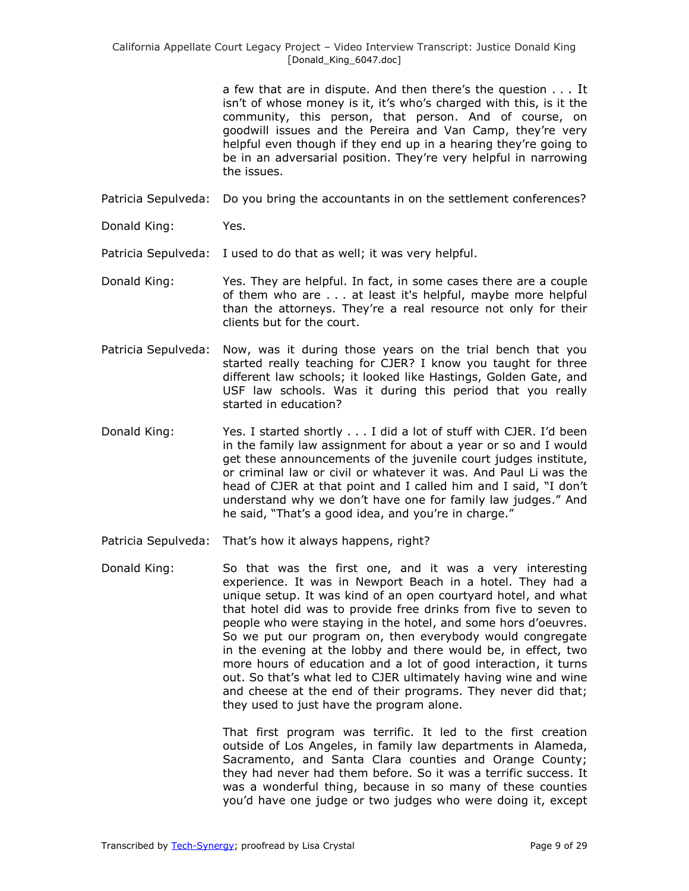a few that are in dispute. And then there's the question . . . It isn't of whose money is it, it's who's charged with this, is it the community, this person, that person. And of course, on goodwill issues and the Pereira and Van Camp, they're very helpful even though if they end up in a hearing they're going to be in an adversarial position. They're very helpful in narrowing the issues.

- Patricia Sepulveda: Do you bring the accountants in on the settlement conferences?
- Donald King: Yes.

Patricia Sepulveda: I used to do that as well; it was very helpful.

- Donald King: Yes. They are helpful. In fact, in some cases there are a couple of them who are . . . at least it's helpful, maybe more helpful than the attorneys. They're a real resource not only for their clients but for the court.
- Patricia Sepulveda: Now, was it during those years on the trial bench that you started really teaching for CJER? I know you taught for three different law schools; it looked like Hastings, Golden Gate, and USF law schools. Was it during this period that you really started in education?
- Donald King: Yes. I started shortly . . . I did a lot of stuff with CJER. I'd been in the family law assignment for about a year or so and I would get these announcements of the juvenile court judges institute, or criminal law or civil or whatever it was. And Paul Li was the head of CJER at that point and I called him and I said, "I don't understand why we don't have one for family law judges." And he said, "That's a good idea, and you're in charge."
- Patricia Sepulveda: That's how it always happens, right?
- Donald King: So that was the first one, and it was a very interesting experience. It was in Newport Beach in a hotel. They had a unique setup. It was kind of an open courtyard hotel, and what that hotel did was to provide free drinks from five to seven to people who were staying in the hotel, and some hors d'oeuvres. So we put our program on, then everybody would congregate in the evening at the lobby and there would be, in effect, two more hours of education and a lot of good interaction, it turns out. So that's what led to CJER ultimately having wine and wine and cheese at the end of their programs. They never did that; they used to just have the program alone.

That first program was terrific. It led to the first creation outside of Los Angeles, in family law departments in Alameda, Sacramento, and Santa Clara counties and Orange County; they had never had them before. So it was a terrific success. It was a wonderful thing, because in so many of these counties you'd have one judge or two judges who were doing it, except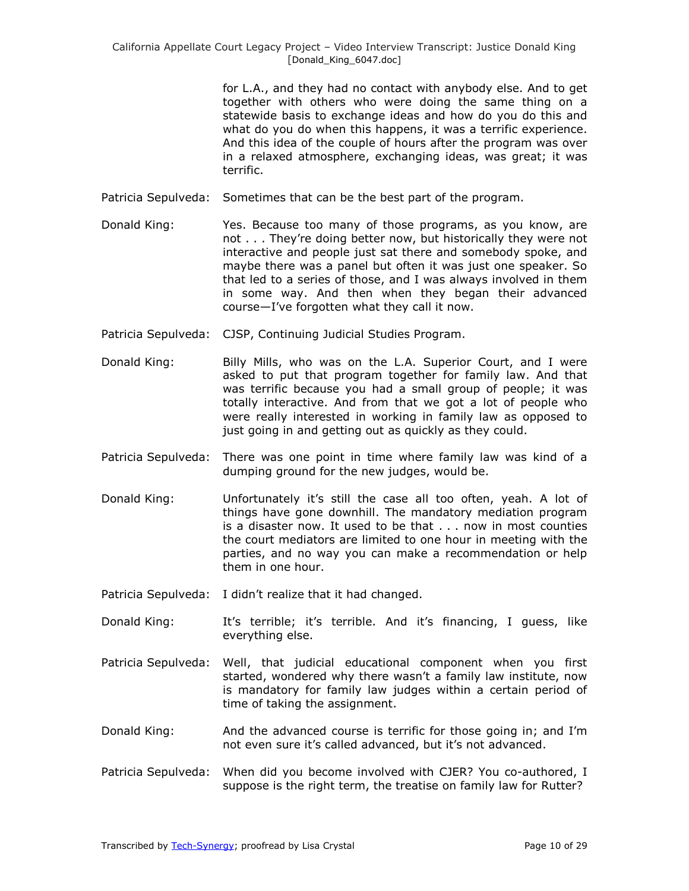for L.A., and they had no contact with anybody else. And to get together with others who were doing the same thing on a statewide basis to exchange ideas and how do you do this and what do you do when this happens, it was a terrific experience. And this idea of the couple of hours after the program was over in a relaxed atmosphere, exchanging ideas, was great; it was terrific.

- Patricia Sepulveda: Sometimes that can be the best part of the program.
- Donald King: Yes. Because too many of those programs, as you know, are not . . . They're doing better now, but historically they were not interactive and people just sat there and somebody spoke, and maybe there was a panel but often it was just one speaker. So that led to a series of those, and I was always involved in them in some way. And then when they began their advanced course—I've forgotten what they call it now.
- Patricia Sepulveda: CJSP, Continuing Judicial Studies Program.
- Donald King: Billy Mills, who was on the L.A. Superior Court, and I were asked to put that program together for family law. And that was terrific because you had a small group of people; it was totally interactive. And from that we got a lot of people who were really interested in working in family law as opposed to just going in and getting out as quickly as they could.
- Patricia Sepulveda: There was one point in time where family law was kind of a dumping ground for the new judges, would be.
- Donald King: Unfortunately it's still the case all too often, yeah. A lot of things have gone downhill. The mandatory mediation program is a disaster now. It used to be that . . . now in most counties the court mediators are limited to one hour in meeting with the parties, and no way you can make a recommendation or help them in one hour.
- Patricia Sepulveda: I didn't realize that it had changed.
- Donald King: It's terrible; it's terrible. And it's financing, I guess, like everything else.
- Patricia Sepulveda: Well, that judicial educational component when you first started, wondered why there wasn't a family law institute, now is mandatory for family law judges within a certain period of time of taking the assignment.
- Donald King: And the advanced course is terrific for those going in; and I'm not even sure it's called advanced, but it's not advanced.
- Patricia Sepulveda: When did you become involved with CJER? You co-authored, I suppose is the right term, the treatise on family law for Rutter?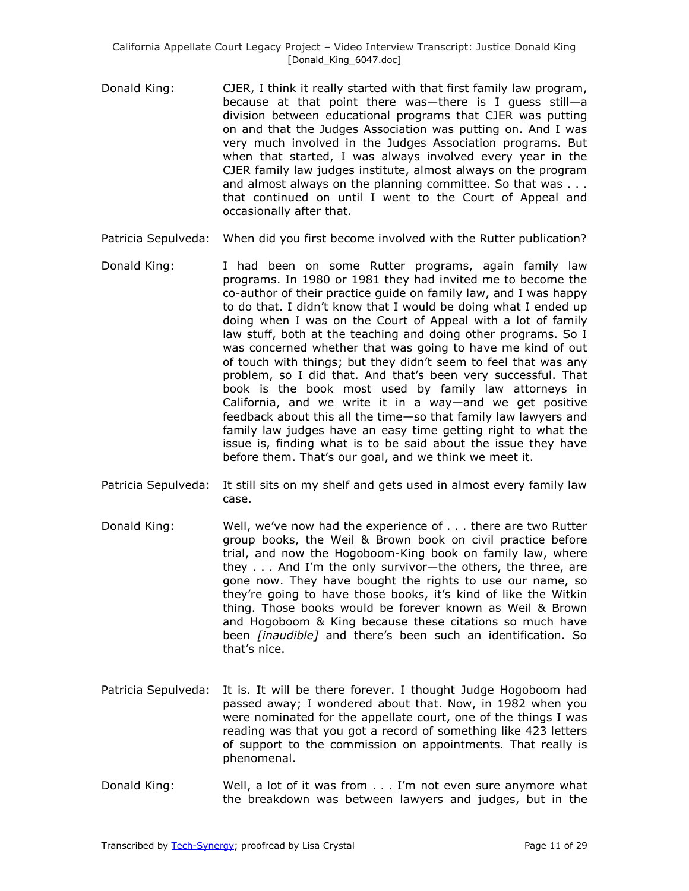- Donald King: CJER, I think it really started with that first family law program, because at that point there was—there is I guess still—a division between educational programs that CJER was putting on and that the Judges Association was putting on. And I was very much involved in the Judges Association programs. But when that started, I was always involved every year in the CJER family law judges institute, almost always on the program and almost always on the planning committee. So that was . . . that continued on until I went to the Court of Appeal and occasionally after that.
- Patricia Sepulveda: When did you first become involved with the Rutter publication?
- Donald King: I had been on some Rutter programs, again family law programs. In 1980 or 1981 they had invited me to become the co-author of their practice guide on family law, and I was happy to do that. I didn't know that I would be doing what I ended up doing when I was on the Court of Appeal with a lot of family law stuff, both at the teaching and doing other programs. So I was concerned whether that was going to have me kind of out of touch with things; but they didn't seem to feel that was any problem, so I did that. And that's been very successful. That book is the book most used by family law attorneys in California, and we write it in a way—and we get positive feedback about this all the time—so that family law lawyers and family law judges have an easy time getting right to what the issue is, finding what is to be said about the issue they have before them. That's our goal, and we think we meet it.
- Patricia Sepulveda: It still sits on my shelf and gets used in almost every family law case.
- Donald King: Well, we've now had the experience of . . . there are two Rutter group books, the Weil & Brown book on civil practice before trial, and now the Hogoboom-King book on family law, where they . . . And I'm the only survivor—the others, the three, are gone now. They have bought the rights to use our name, so they're going to have those books, it's kind of like the Witkin thing. Those books would be forever known as Weil & Brown and Hogoboom & King because these citations so much have been *[inaudible]* and there's been such an identification. So that's nice.
- Patricia Sepulveda: It is. It will be there forever. I thought Judge Hogoboom had passed away; I wondered about that. Now, in 1982 when you were nominated for the appellate court, one of the things I was reading was that you got a record of something like 423 letters of support to the commission on appointments. That really is phenomenal.
- Donald King: Well, a lot of it was from . . . I'm not even sure anymore what the breakdown was between lawyers and judges, but in the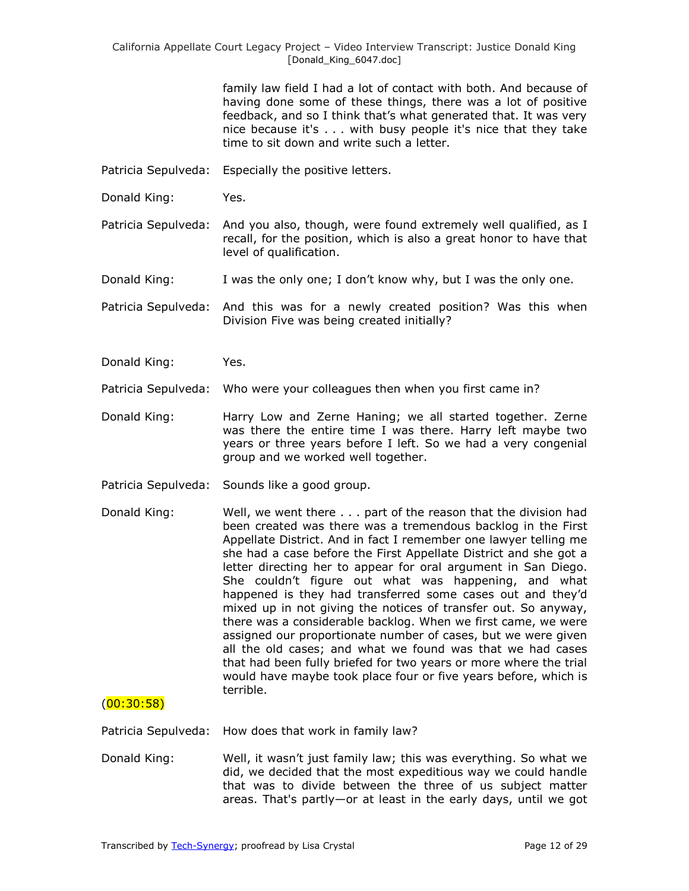> family law field I had a lot of contact with both. And because of having done some of these things, there was a lot of positive feedback, and so I think that's what generated that. It was very nice because it's . . . with busy people it's nice that they take time to sit down and write such a letter.

- Patricia Sepulveda: Especially the positive letters.
- Donald King: Yes.
- Patricia Sepulveda: And you also, though, were found extremely well qualified, as I recall, for the position, which is also a great honor to have that level of qualification.
- Donald King: I was the only one; I don't know why, but I was the only one.
- Patricia Sepulveda: And this was for a newly created position? Was this when Division Five was being created initially?
- Donald King: Yes.
- Patricia Sepulveda: Who were your colleagues then when you first came in?
- Donald King: Harry Low and Zerne Haning; we all started together. Zerne was there the entire time I was there. Harry left maybe two years or three years before I left. So we had a very congenial group and we worked well together.
- Patricia Sepulveda: Sounds like a good group.
- Donald King: Well, we went there . . . part of the reason that the division had been created was there was a tremendous backlog in the First Appellate District. And in fact I remember one lawyer telling me she had a case before the First Appellate District and she got a letter directing her to appear for oral argument in San Diego. She couldn't figure out what was happening, and what happened is they had transferred some cases out and they'd mixed up in not giving the notices of transfer out. So anyway, there was a considerable backlog. When we first came, we were assigned our proportionate number of cases, but we were given all the old cases; and what we found was that we had cases that had been fully briefed for two years or more where the trial would have maybe took place four or five years before, which is terrible.

#### $(00:30:58)$

Patricia Sepulveda: How does that work in family law?

Donald King: Well, it wasn't just family law; this was everything. So what we did, we decided that the most expeditious way we could handle that was to divide between the three of us subject matter areas. That's partly—or at least in the early days, until we got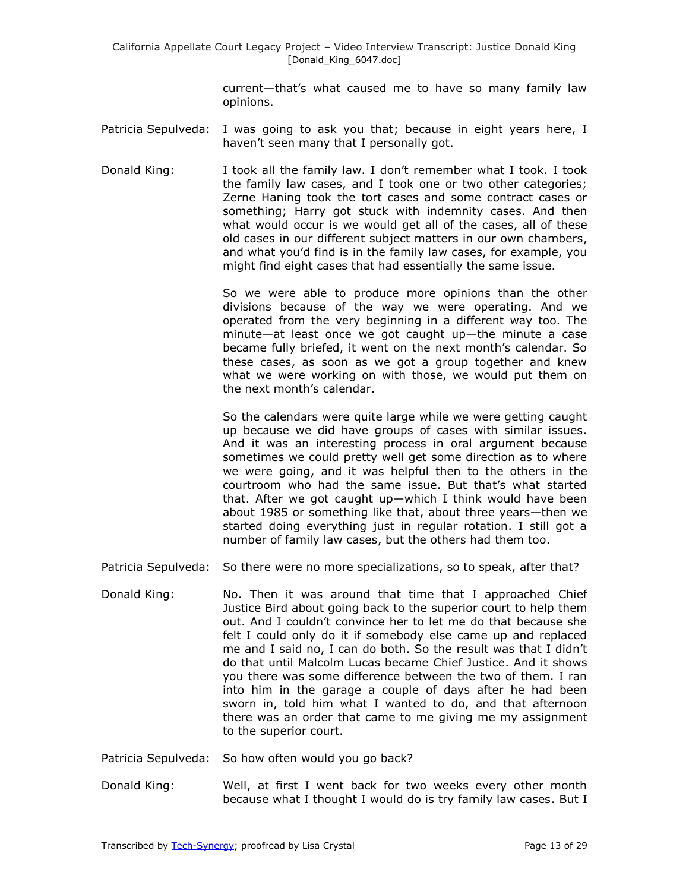current—that's what caused me to have so many family law opinions.

- Patricia Sepulveda: I was going to ask you that; because in eight years here, I haven't seen many that I personally got.
- Donald King: I took all the family law. I don't remember what I took. I took the family law cases, and I took one or two other categories; Zerne Haning took the tort cases and some contract cases or something; Harry got stuck with indemnity cases. And then what would occur is we would get all of the cases, all of these old cases in our different subject matters in our own chambers, and what you'd find is in the family law cases, for example, you might find eight cases that had essentially the same issue.

So we were able to produce more opinions than the other divisions because of the way we were operating. And we operated from the very beginning in a different way too. The minute—at least once we got caught up—the minute a case became fully briefed, it went on the next month's calendar. So these cases, as soon as we got a group together and knew what we were working on with those, we would put them on the next month's calendar.

So the calendars were quite large while we were getting caught up because we did have groups of cases with similar issues. And it was an interesting process in oral argument because sometimes we could pretty well get some direction as to where we were going, and it was helpful then to the others in the courtroom who had the same issue. But that's what started that. After we got caught up—which I think would have been about 1985 or something like that, about three years—then we started doing everything just in regular rotation. I still got a number of family law cases, but the others had them too.

- Patricia Sepulveda: So there were no more specializations, so to speak, after that?
- Donald King: No. Then it was around that time that I approached Chief Justice Bird about going back to the superior court to help them out. And I couldn't convince her to let me do that because she felt I could only do it if somebody else came up and replaced me and I said no, I can do both. So the result was that I didn't do that until Malcolm Lucas became Chief Justice. And it shows you there was some difference between the two of them. I ran into him in the garage a couple of days after he had been sworn in, told him what I wanted to do, and that afternoon there was an order that came to me giving me my assignment to the superior court.
- Patricia Sepulveda: So how often would you go back?
- Donald King: Well, at first I went back for two weeks every other month because what I thought I would do is try family law cases. But I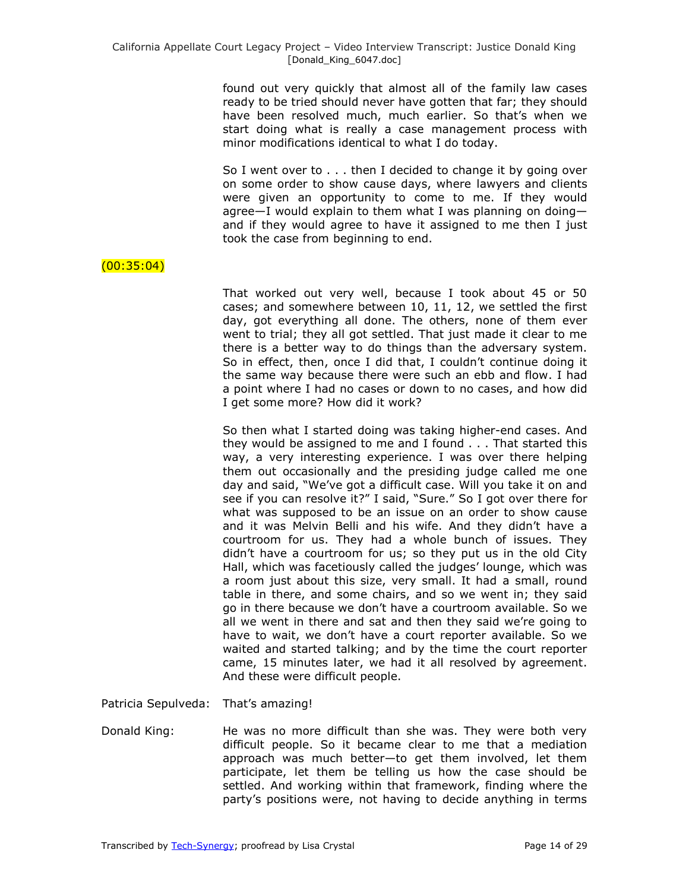found out very quickly that almost all of the family law cases ready to be tried should never have gotten that far; they should have been resolved much, much earlier. So that's when we start doing what is really a case management process with minor modifications identical to what I do today.

So I went over to . . . then I decided to change it by going over on some order to show cause days, where lawyers and clients were given an opportunity to come to me. If they would agree—I would explain to them what I was planning on doing and if they would agree to have it assigned to me then I just took the case from beginning to end.

# $(00:35:04)$

That worked out very well, because I took about 45 or 50 cases; and somewhere between 10, 11, 12, we settled the first day, got everything all done. The others, none of them ever went to trial; they all got settled. That just made it clear to me there is a better way to do things than the adversary system. So in effect, then, once I did that, I couldn't continue doing it the same way because there were such an ebb and flow. I had a point where I had no cases or down to no cases, and how did I get some more? How did it work?

So then what I started doing was taking higher-end cases. And they would be assigned to me and I found . . . That started this way, a very interesting experience. I was over there helping them out occasionally and the presiding judge called me one day and said, "We've got a difficult case. Will you take it on and see if you can resolve it?" I said, "Sure." So I got over there for what was supposed to be an issue on an order to show cause and it was Melvin Belli and his wife. And they didn't have a courtroom for us. They had a whole bunch of issues. They didn't have a courtroom for us; so they put us in the old City Hall, which was facetiously called the judges' lounge, which was a room just about this size, very small. It had a small, round table in there, and some chairs, and so we went in; they said go in there because we don't have a courtroom available. So we all we went in there and sat and then they said we're going to have to wait, we don't have a court reporter available. So we waited and started talking; and by the time the court reporter came, 15 minutes later, we had it all resolved by agreement. And these were difficult people.

Patricia Sepulveda: That's amazing!

Donald King: He was no more difficult than she was. They were both very difficult people. So it became clear to me that a mediation approach was much better—to get them involved, let them participate, let them be telling us how the case should be settled. And working within that framework, finding where the party's positions were, not having to decide anything in terms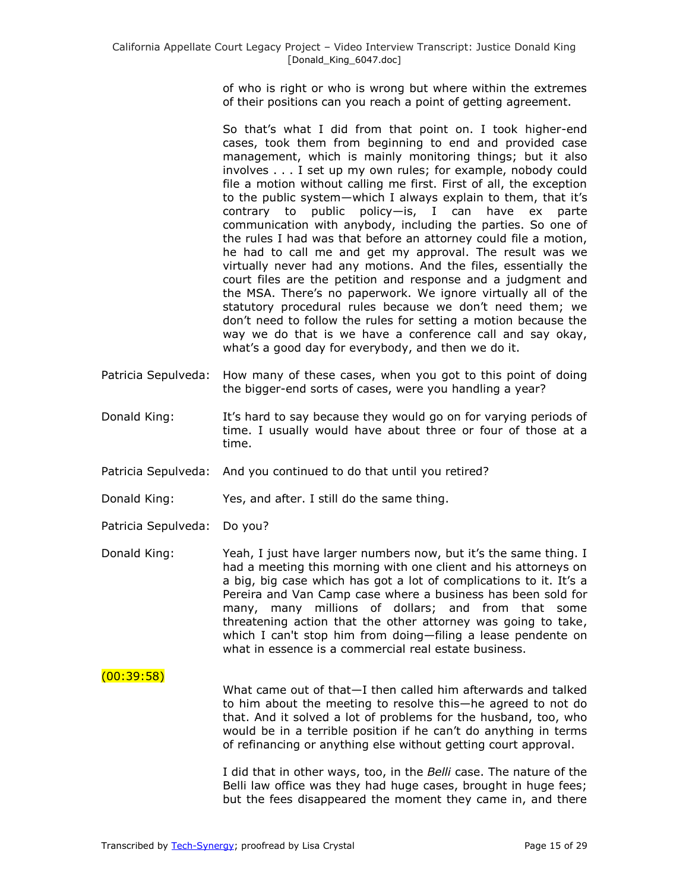of who is right or who is wrong but where within the extremes of their positions can you reach a point of getting agreement.

So that's what I did from that point on. I took higher-end cases, took them from beginning to end and provided case management, which is mainly monitoring things; but it also involves . . . I set up my own rules; for example, nobody could file a motion without calling me first. First of all, the exception to the public system—which I always explain to them, that it's contrary to public policy—is, I can have ex parte communication with anybody, including the parties. So one of the rules I had was that before an attorney could file a motion, he had to call me and get my approval. The result was we virtually never had any motions. And the files, essentially the court files are the petition and response and a judgment and the MSA. There's no paperwork. We ignore virtually all of the statutory procedural rules because we don't need them; we don't need to follow the rules for setting a motion because the way we do that is we have a conference call and say okay, what's a good day for everybody, and then we do it.

- Patricia Sepulveda: How many of these cases, when you got to this point of doing the bigger-end sorts of cases, were you handling a year?
- Donald King: It's hard to say because they would go on for varying periods of time. I usually would have about three or four of those at a time.
- Patricia Sepulveda: And you continued to do that until you retired?

Donald King: Yes, and after. I still do the same thing.

- Patricia Sepulveda: Do you?
- Donald King: Yeah, I just have larger numbers now, but it's the same thing. I had a meeting this morning with one client and his attorneys on a big, big case which has got a lot of complications to it. It's a Pereira and Van Camp case where a business has been sold for many, many millions of dollars; and from that some threatening action that the other attorney was going to take, which I can't stop him from doing—filing a lease pendente on what in essence is a commercial real estate business.

### $(00:39:58)$

What came out of that—I then called him afterwards and talked to him about the meeting to resolve this—he agreed to not do that. And it solved a lot of problems for the husband, too, who would be in a terrible position if he can't do anything in terms of refinancing or anything else without getting court approval.

I did that in other ways, too, in the *Belli* case. The nature of the Belli law office was they had huge cases, brought in huge fees; but the fees disappeared the moment they came in, and there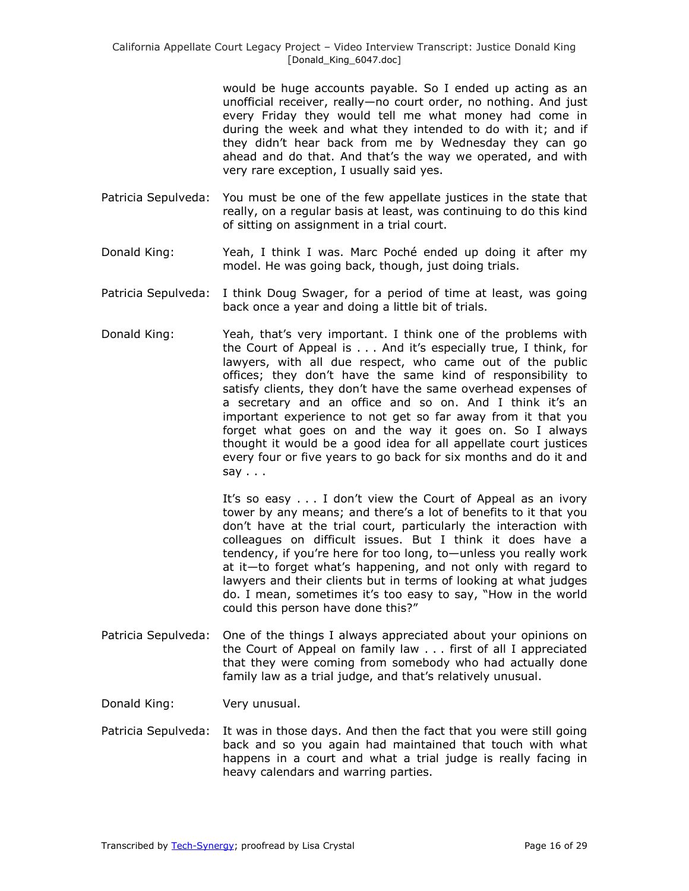would be huge accounts payable. So I ended up acting as an unofficial receiver, really—no court order, no nothing. And just every Friday they would tell me what money had come in during the week and what they intended to do with it; and if they didn't hear back from me by Wednesday they can go ahead and do that. And that's the way we operated, and with very rare exception, I usually said yes.

- Patricia Sepulveda: You must be one of the few appellate justices in the state that really, on a regular basis at least, was continuing to do this kind of sitting on assignment in a trial court.
- Donald King: Yeah, I think I was. Marc Poché ended up doing it after my model. He was going back, though, just doing trials.
- Patricia Sepulveda: I think Doug Swager, for a period of time at least, was going back once a year and doing a little bit of trials.
- Donald King: Yeah, that's very important. I think one of the problems with the Court of Appeal is . . . And it's especially true, I think, for lawyers, with all due respect, who came out of the public offices; they don't have the same kind of responsibility to satisfy clients, they don't have the same overhead expenses of a secretary and an office and so on. And I think it's an important experience to not get so far away from it that you forget what goes on and the way it goes on. So I always thought it would be a good idea for all appellate court justices every four or five years to go back for six months and do it and say  $\ldots$

It's so easy . . . I don't view the Court of Appeal as an ivory tower by any means; and there's a lot of benefits to it that you don't have at the trial court, particularly the interaction with colleagues on difficult issues. But I think it does have a tendency, if you're here for too long, to—unless you really work at it—to forget what's happening, and not only with regard to lawyers and their clients but in terms of looking at what judges do. I mean, sometimes it's too easy to say, "How in the world could this person have done this?"

Patricia Sepulveda: One of the things I always appreciated about your opinions on the Court of Appeal on family law . . . first of all I appreciated that they were coming from somebody who had actually done family law as a trial judge, and that's relatively unusual.

Donald King: Very unusual.

Patricia Sepulveda: It was in those days. And then the fact that you were still going back and so you again had maintained that touch with what happens in a court and what a trial judge is really facing in heavy calendars and warring parties.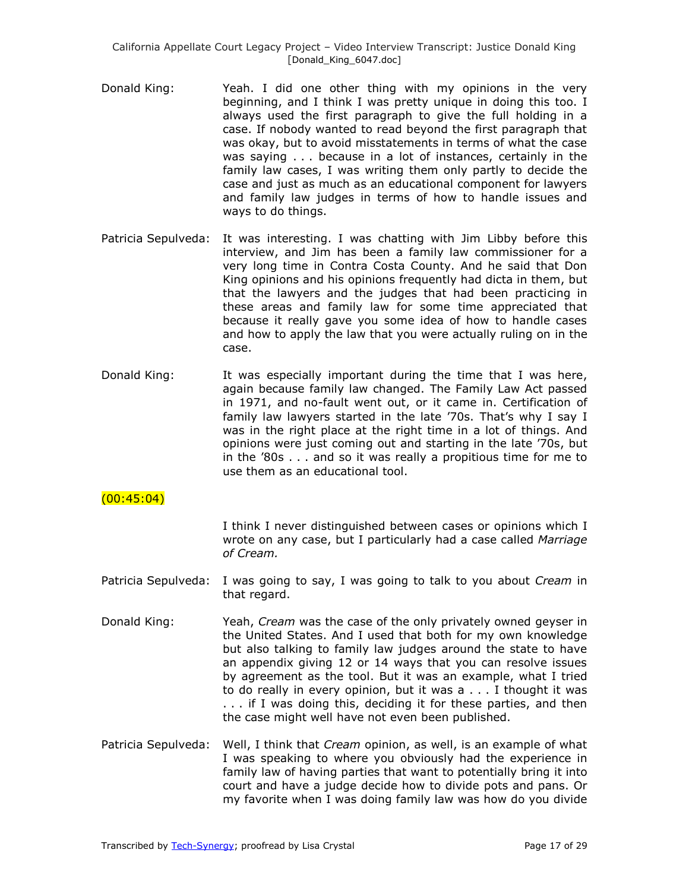- Donald King: Yeah. I did one other thing with my opinions in the very beginning, and I think I was pretty unique in doing this too. I always used the first paragraph to give the full holding in a case. If nobody wanted to read beyond the first paragraph that was okay, but to avoid misstatements in terms of what the case was saying . . . because in a lot of instances, certainly in the family law cases, I was writing them only partly to decide the case and just as much as an educational component for lawyers and family law judges in terms of how to handle issues and ways to do things.
- Patricia Sepulveda: It was interesting. I was chatting with Jim Libby before this interview, and Jim has been a family law commissioner for a very long time in Contra Costa County. And he said that Don King opinions and his opinions frequently had dicta in them, but that the lawyers and the judges that had been practicing in these areas and family law for some time appreciated that because it really gave you some idea of how to handle cases and how to apply the law that you were actually ruling on in the case.
- Donald King: It was especially important during the time that I was here, again because family law changed. The Family Law Act passed in 1971, and no-fault went out, or it came in. Certification of family law lawyers started in the late '70s. That's why I say I was in the right place at the right time in a lot of things. And opinions were just coming out and starting in the late '70s, but in the '80s . . . and so it was really a propitious time for me to use them as an educational tool.

# $(00:45:04)$

I think I never distinguished between cases or opinions which I wrote on any case, but I particularly had a case called *Marriage of Cream.*

- Patricia Sepulveda: I was going to say, I was going to talk to you about *Cream* in that regard.
- Donald King: Yeah, *Cream* was the case of the only privately owned geyser in the United States. And I used that both for my own knowledge but also talking to family law judges around the state to have an appendix giving 12 or 14 ways that you can resolve issues by agreement as the tool. But it was an example, what I tried to do really in every opinion, but it was a . . . I thought it was . . . if I was doing this, deciding it for these parties, and then the case might well have not even been published.
- Patricia Sepulveda: Well, I think that *Cream* opinion, as well, is an example of what I was speaking to where you obviously had the experience in family law of having parties that want to potentially bring it into court and have a judge decide how to divide pots and pans. Or my favorite when I was doing family law was how do you divide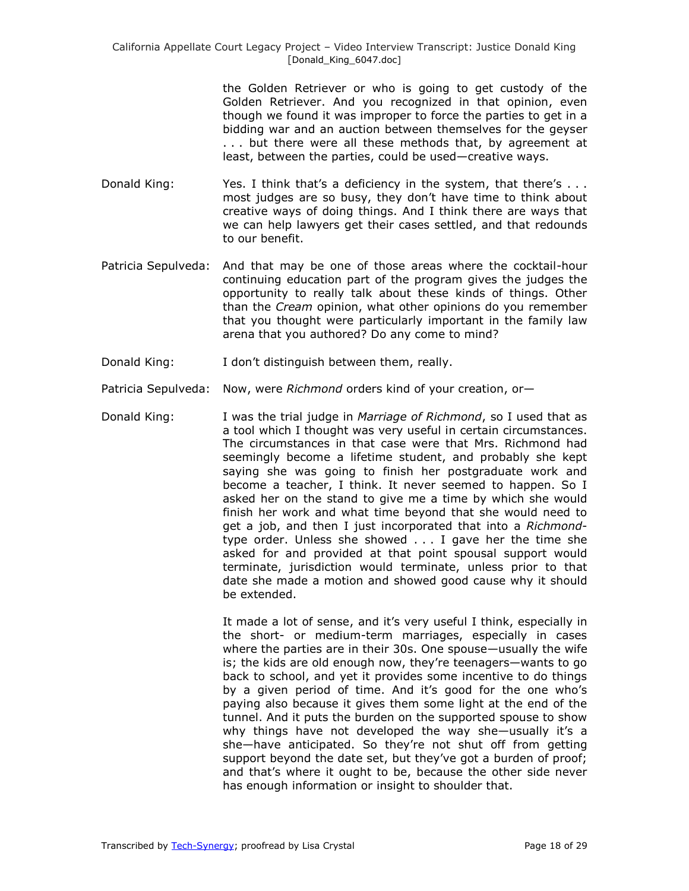the Golden Retriever or who is going to get custody of the Golden Retriever. And you recognized in that opinion, even though we found it was improper to force the parties to get in a bidding war and an auction between themselves for the geyser . . . but there were all these methods that, by agreement at least, between the parties, could be used—creative ways.

- Donald King: Yes. I think that's a deficiency in the system, that there's ... most judges are so busy, they don't have time to think about creative ways of doing things. And I think there are ways that we can help lawyers get their cases settled, and that redounds to our benefit.
- Patricia Sepulveda: And that may be one of those areas where the cocktail-hour continuing education part of the program gives the judges the opportunity to really talk about these kinds of things. Other than the *Cream* opinion, what other opinions do you remember that you thought were particularly important in the family law arena that you authored? Do any come to mind?
- Donald King: I don't distinguish between them, really.
- Patricia Sepulveda: Now, were *Richmond* orders kind of your creation, or—
- Donald King: I was the trial judge in *Marriage of Richmond*, so I used that as a tool which I thought was very useful in certain circumstances. The circumstances in that case were that Mrs. Richmond had seemingly become a lifetime student, and probably she kept saying she was going to finish her postgraduate work and become a teacher, I think. It never seemed to happen. So I asked her on the stand to give me a time by which she would finish her work and what time beyond that she would need to get a job, and then I just incorporated that into a *Richmond*type order. Unless she showed . . . I gave her the time she asked for and provided at that point spousal support would terminate, jurisdiction would terminate, unless prior to that date she made a motion and showed good cause why it should be extended.

It made a lot of sense, and it's very useful I think, especially in the short- or medium-term marriages, especially in cases where the parties are in their 30s. One spouse—usually the wife is; the kids are old enough now, they're teenagers—wants to go back to school, and yet it provides some incentive to do things by a given period of time. And it's good for the one who's paying also because it gives them some light at the end of the tunnel. And it puts the burden on the supported spouse to show why things have not developed the way she—usually it's a she—have anticipated. So they're not shut off from getting support beyond the date set, but they've got a burden of proof; and that's where it ought to be, because the other side never has enough information or insight to shoulder that.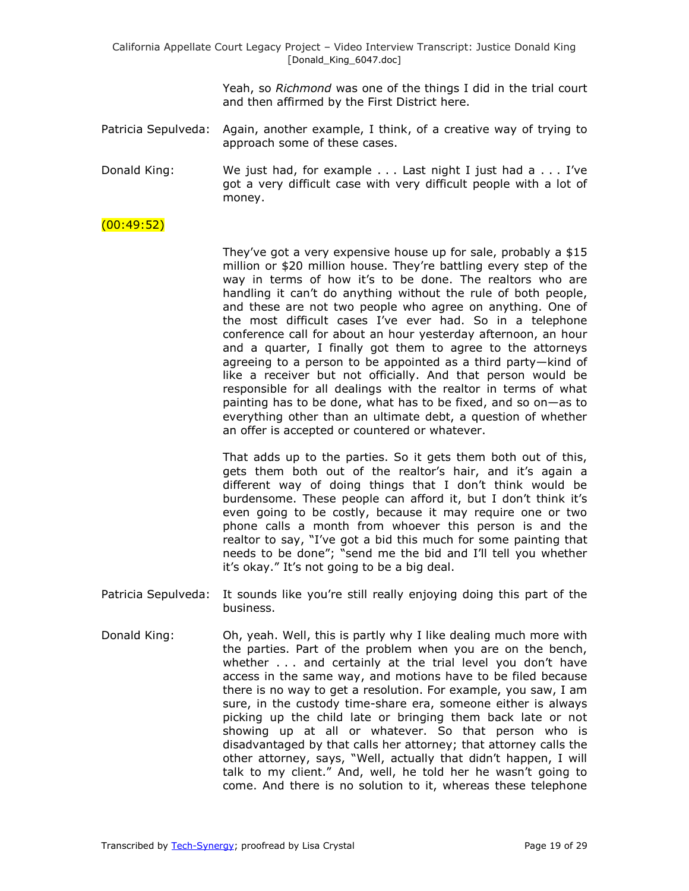> Yeah, so *Richmond* was one of the things I did in the trial court and then affirmed by the First District here.

- Patricia Sepulveda: Again, another example, I think, of a creative way of trying to approach some of these cases.
- Donald King: We just had, for example . . . Last night I just had a . . . I've got a very difficult case with very difficult people with a lot of money.

### $(00:49:52)$

They've got a very expensive house up for sale, probably a \$15 million or \$20 million house. They're battling every step of the way in terms of how it's to be done. The realtors who are handling it can't do anything without the rule of both people, and these are not two people who agree on anything. One of the most difficult cases I've ever had. So in a telephone conference call for about an hour yesterday afternoon, an hour and a quarter, I finally got them to agree to the attorneys agreeing to a person to be appointed as a third party—kind of like a receiver but not officially. And that person would be responsible for all dealings with the realtor in terms of what painting has to be done, what has to be fixed, and so on—as to everything other than an ultimate debt, a question of whether an offer is accepted or countered or whatever.

That adds up to the parties. So it gets them both out of this, gets them both out of the realtor's hair, and it's again a different way of doing things that I don't think would be burdensome. These people can afford it, but I don't think it's even going to be costly, because it may require one or two phone calls a month from whoever this person is and the realtor to say, "I've got a bid this much for some painting that needs to be done"; "send me the bid and I'll tell you whether it's okay.‖ It's not going to be a big deal.

- Patricia Sepulveda: It sounds like you're still really enjoying doing this part of the business.
- Donald King: Oh, yeah. Well, this is partly why I like dealing much more with the parties. Part of the problem when you are on the bench, whether . . . and certainly at the trial level you don't have access in the same way, and motions have to be filed because there is no way to get a resolution. For example, you saw, I am sure, in the custody time-share era, someone either is always picking up the child late or bringing them back late or not showing up at all or whatever. So that person who is disadvantaged by that calls her attorney; that attorney calls the other attorney, says, "Well, actually that didn't happen, I will talk to my client." And, well, he told her he wasn't going to come. And there is no solution to it, whereas these telephone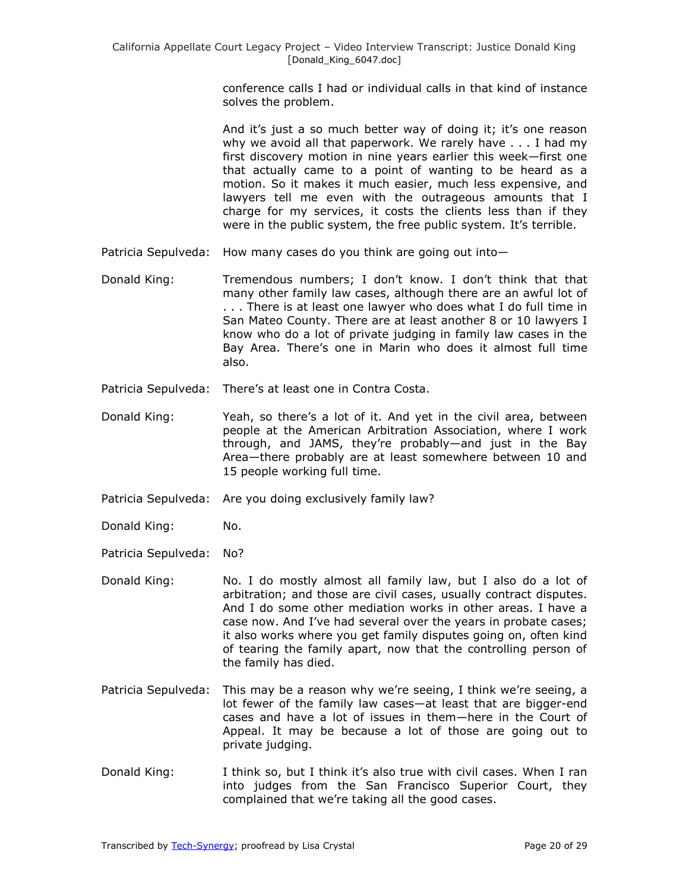conference calls I had or individual calls in that kind of instance solves the problem.

And it's just a so much better way of doing it; it's one reason why we avoid all that paperwork. We rarely have . . . I had my first discovery motion in nine years earlier this week—first one that actually came to a point of wanting to be heard as a motion. So it makes it much easier, much less expensive, and lawyers tell me even with the outrageous amounts that I charge for my services, it costs the clients less than if they were in the public system, the free public system. It's terrible.

- Patricia Sepulveda: How many cases do you think are going out into—
- Donald King: Tremendous numbers; I don't know. I don't think that that many other family law cases, although there are an awful lot of . . . There is at least one lawyer who does what I do full time in San Mateo County. There are at least another 8 or 10 lawyers I know who do a lot of private judging in family law cases in the Bay Area. There's one in Marin who does it almost full time also.
- Patricia Sepulveda: There's at least one in Contra Costa.
- Donald King: Yeah, so there's a lot of it. And yet in the civil area, between people at the American Arbitration Association, where I work through, and JAMS, they're probably—and just in the Bay Area—there probably are at least somewhere between 10 and 15 people working full time.
- Patricia Sepulveda: Are you doing exclusively family law?
- Donald King: No.
- Patricia Sepulveda: No?
- Donald King: No. I do mostly almost all family law, but I also do a lot of arbitration; and those are civil cases, usually contract disputes. And I do some other mediation works in other areas. I have a case now. And I've had several over the years in probate cases; it also works where you get family disputes going on, often kind of tearing the family apart, now that the controlling person of the family has died.
- Patricia Sepulveda: This may be a reason why we're seeing, I think we're seeing, a lot fewer of the family law cases—at least that are bigger-end cases and have a lot of issues in them—here in the Court of Appeal. It may be because a lot of those are going out to private judging.
- Donald King: I think so, but I think it's also true with civil cases. When I ran into judges from the San Francisco Superior Court, they complained that we're taking all the good cases.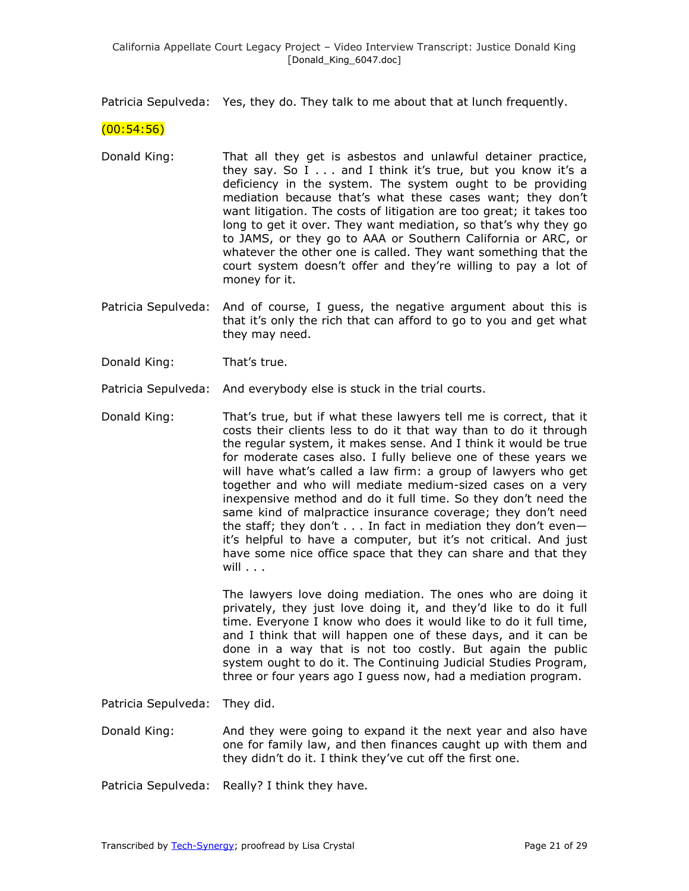Patricia Sepulveda: Yes, they do. They talk to me about that at lunch frequently.

 $(00:54:56)$ 

- Donald King: That all they get is asbestos and unlawful detainer practice, they say. So I . . . and I think it's true, but you know it's a deficiency in the system. The system ought to be providing mediation because that's what these cases want; they don't want litigation. The costs of litigation are too great; it takes too long to get it over. They want mediation, so that's why they go to JAMS, or they go to AAA or Southern California or ARC, or whatever the other one is called. They want something that the court system doesn't offer and they're willing to pay a lot of money for it.
- Patricia Sepulveda: And of course, I guess, the negative argument about this is that it's only the rich that can afford to go to you and get what they may need.
- Donald King: That's true.

Patricia Sepulveda: And everybody else is stuck in the trial courts.

Donald King: That's true, but if what these lawyers tell me is correct, that it costs their clients less to do it that way than to do it through the regular system, it makes sense. And I think it would be true for moderate cases also. I fully believe one of these years we will have what's called a law firm: a group of lawyers who get together and who will mediate medium-sized cases on a very inexpensive method and do it full time. So they don't need the same kind of malpractice insurance coverage; they don't need the staff; they don't . . . In fact in mediation they don't even it's helpful to have a computer, but it's not critical. And just have some nice office space that they can share and that they will . . .

> The lawyers love doing mediation. The ones who are doing it privately, they just love doing it, and they'd like to do it full time. Everyone I know who does it would like to do it full time, and I think that will happen one of these days, and it can be done in a way that is not too costly. But again the public system ought to do it. The Continuing Judicial Studies Program, three or four years ago I guess now, had a mediation program.

Patricia Sepulveda: They did.

- Donald King: And they were going to expand it the next year and also have one for family law, and then finances caught up with them and they didn't do it. I think they've cut off the first one.
- Patricia Sepulveda: Really? I think they have.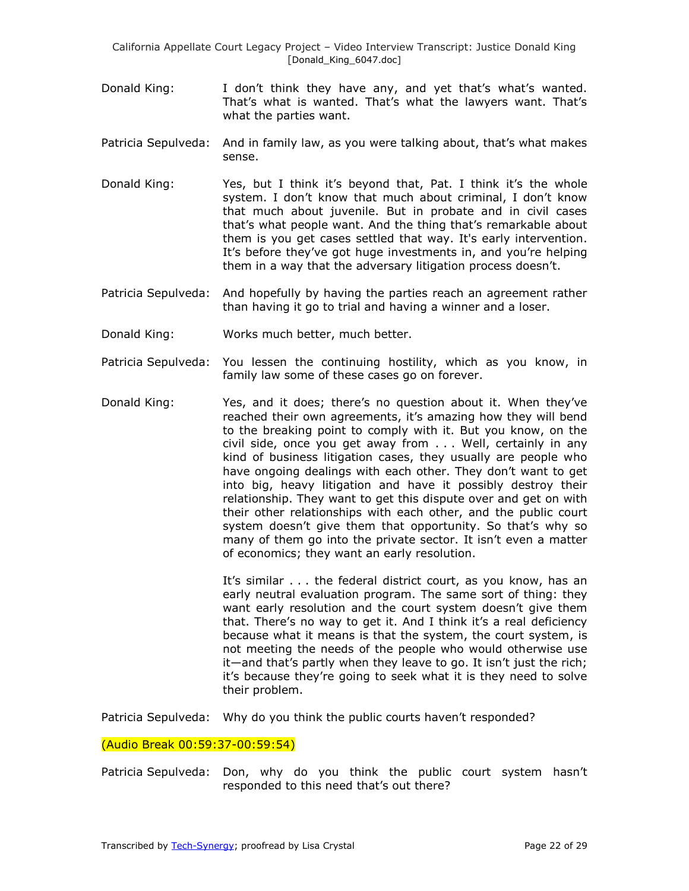- Donald King: I don't think they have any, and yet that's what's wanted. That's what is wanted. That's what the lawyers want. That's what the parties want.
- Patricia Sepulveda: And in family law, as you were talking about, that's what makes sense.
- Donald King: Yes, but I think it's beyond that, Pat. I think it's the whole system. I don't know that much about criminal, I don't know that much about juvenile. But in probate and in civil cases that's what people want. And the thing that's remarkable about them is you get cases settled that way. It's early intervention. It's before they've got huge investments in, and you're helping them in a way that the adversary litigation process doesn't.
- Patricia Sepulveda: And hopefully by having the parties reach an agreement rather than having it go to trial and having a winner and a loser.
- Donald King: Works much better, much better.
- Patricia Sepulveda: You lessen the continuing hostility, which as you know, in family law some of these cases go on forever.
- Donald King: Yes, and it does; there's no question about it. When they've reached their own agreements, it's amazing how they will bend to the breaking point to comply with it. But you know, on the civil side, once you get away from . . . Well, certainly in any kind of business litigation cases, they usually are people who have ongoing dealings with each other. They don't want to get into big, heavy litigation and have it possibly destroy their relationship. They want to get this dispute over and get on with their other relationships with each other, and the public court system doesn't give them that opportunity. So that's why so many of them go into the private sector. It isn't even a matter of economics; they want an early resolution.

It's similar . . . the federal district court, as you know, has an early neutral evaluation program. The same sort of thing: they want early resolution and the court system doesn't give them that. There's no way to get it. And I think it's a real deficiency because what it means is that the system, the court system, is not meeting the needs of the people who would otherwise use it—and that's partly when they leave to go. It isn't just the rich; it's because they're going to seek what it is they need to solve their problem.

Patricia Sepulveda: Why do you think the public courts haven't responded?

#### (Audio Break 00:59:37-00:59:54)

Patricia Sepulveda: Don, why do you think the public court system hasn't responded to this need that's out there?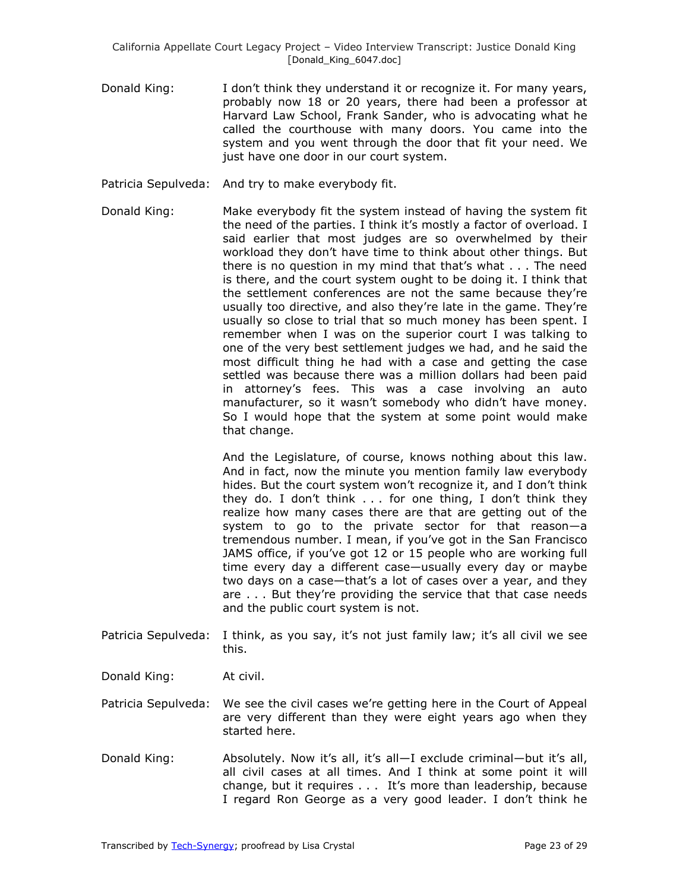- Donald King: I don't think they understand it or recognize it. For many years, probably now 18 or 20 years, there had been a professor at Harvard Law School, Frank Sander, who is advocating what he called the courthouse with many doors. You came into the system and you went through the door that fit your need. We just have one door in our court system.
- Patricia Sepulveda: And try to make everybody fit.
- Donald King: Make everybody fit the system instead of having the system fit the need of the parties. I think it's mostly a factor of overload. I said earlier that most judges are so overwhelmed by their workload they don't have time to think about other things. But there is no question in my mind that that's what . . . The need is there, and the court system ought to be doing it. I think that the settlement conferences are not the same because they're usually too directive, and also they're late in the game. They're usually so close to trial that so much money has been spent. I remember when I was on the superior court I was talking to one of the very best settlement judges we had, and he said the most difficult thing he had with a case and getting the case settled was because there was a million dollars had been paid in attorney's fees. This was a case involving an auto manufacturer, so it wasn't somebody who didn't have money. So I would hope that the system at some point would make that change.

And the Legislature, of course, knows nothing about this law. And in fact, now the minute you mention family law everybody hides. But the court system won't recognize it, and I don't think they do. I don't think . . . for one thing, I don't think they realize how many cases there are that are getting out of the system to go to the private sector for that reason—a tremendous number. I mean, if you've got in the San Francisco JAMS office, if you've got 12 or 15 people who are working full time every day a different case—usually every day or maybe two days on a case—that's a lot of cases over a year, and they are . . . But they're providing the service that that case needs and the public court system is not.

- Patricia Sepulveda: I think, as you say, it's not just family law; it's all civil we see this.
- Donald King: At civil.
- Patricia Sepulveda: We see the civil cases we're getting here in the Court of Appeal are very different than they were eight years ago when they started here.
- Donald King: Absolutely. Now it's all, it's all—I exclude criminal—but it's all, all civil cases at all times. And I think at some point it will change, but it requires . . . It's more than leadership, because I regard Ron George as a very good leader. I don't think he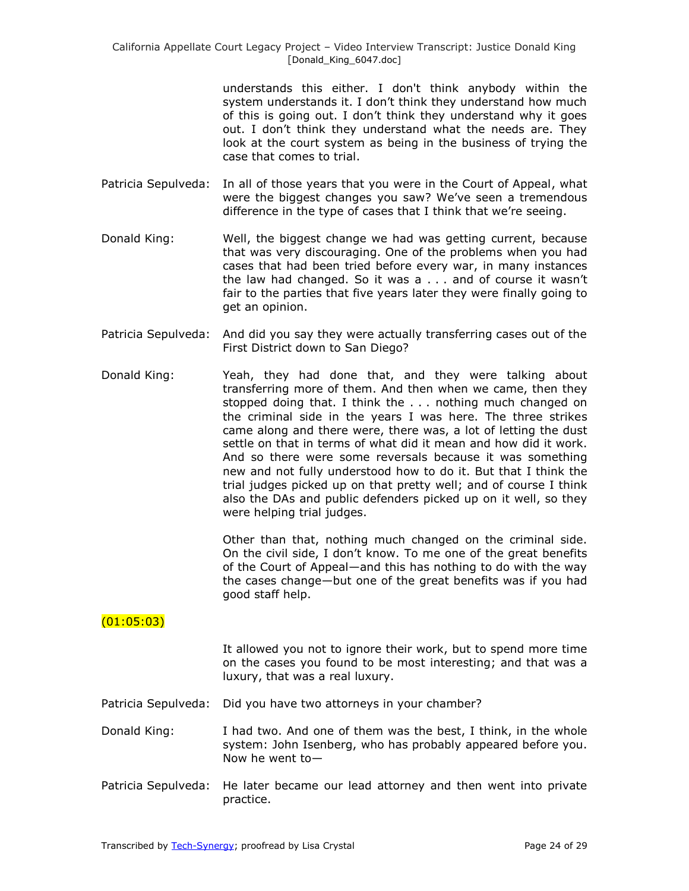understands this either. I don't think anybody within the system understands it. I don't think they understand how much of this is going out. I don't think they understand why it goes out. I don't think they understand what the needs are. They look at the court system as being in the business of trying the case that comes to trial.

- Patricia Sepulveda: In all of those years that you were in the Court of Appeal, what were the biggest changes you saw? We've seen a tremendous difference in the type of cases that I think that we're seeing.
- Donald King: Well, the biggest change we had was getting current, because that was very discouraging. One of the problems when you had cases that had been tried before every war, in many instances the law had changed. So it was a . . . and of course it wasn't fair to the parties that five years later they were finally going to get an opinion.
- Patricia Sepulveda: And did you say they were actually transferring cases out of the First District down to San Diego?
- Donald King: Yeah, they had done that, and they were talking about transferring more of them. And then when we came, then they stopped doing that. I think the . . . nothing much changed on the criminal side in the years I was here. The three strikes came along and there were, there was, a lot of letting the dust settle on that in terms of what did it mean and how did it work. And so there were some reversals because it was something new and not fully understood how to do it. But that I think the trial judges picked up on that pretty well; and of course I think also the DAs and public defenders picked up on it well, so they were helping trial judges.

Other than that, nothing much changed on the criminal side. On the civil side, I don't know. To me one of the great benefits of the Court of Appeal—and this has nothing to do with the way the cases change—but one of the great benefits was if you had good staff help.

# $(01:05:03)$

It allowed you not to ignore their work, but to spend more time on the cases you found to be most interesting; and that was a luxury, that was a real luxury.

Patricia Sepulveda: Did you have two attorneys in your chamber?

- Donald King: I had two. And one of them was the best, I think, in the whole system: John Isenberg, who has probably appeared before you. Now he went to—
- Patricia Sepulveda: He later became our lead attorney and then went into private practice.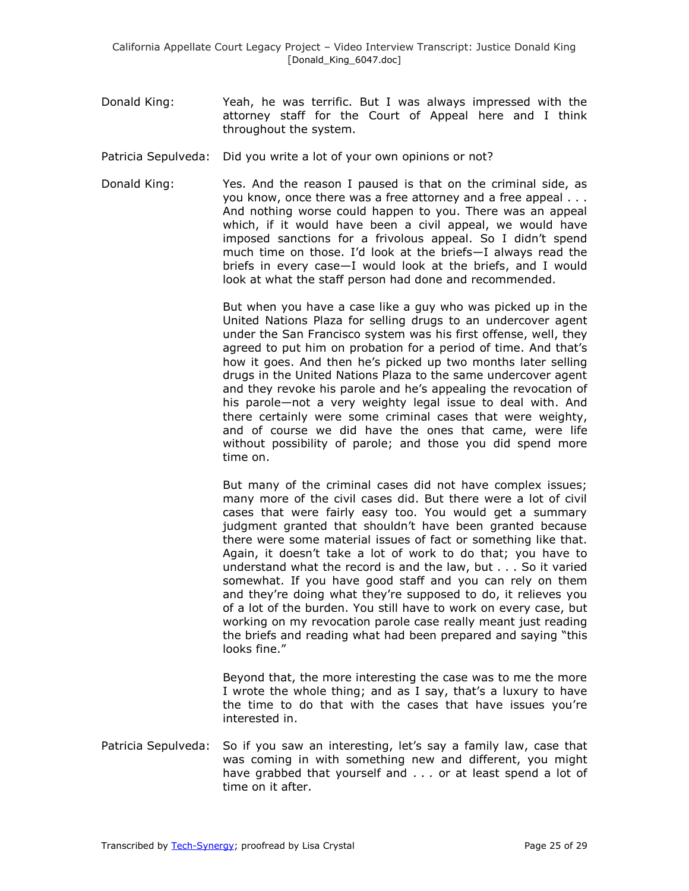- Donald King: Yeah, he was terrific. But I was always impressed with the attorney staff for the Court of Appeal here and I think throughout the system.
- Patricia Sepulveda: Did you write a lot of your own opinions or not?
- Donald King: Yes. And the reason I paused is that on the criminal side, as you know, once there was a free attorney and a free appeal . . . And nothing worse could happen to you. There was an appeal which, if it would have been a civil appeal, we would have imposed sanctions for a frivolous appeal. So I didn't spend much time on those. I'd look at the briefs—I always read the briefs in every case—I would look at the briefs, and I would look at what the staff person had done and recommended.

But when you have a case like a guy who was picked up in the United Nations Plaza for selling drugs to an undercover agent under the San Francisco system was his first offense, well, they agreed to put him on probation for a period of time. And that's how it goes. And then he's picked up two months later selling drugs in the United Nations Plaza to the same undercover agent and they revoke his parole and he's appealing the revocation of his parole—not a very weighty legal issue to deal with. And there certainly were some criminal cases that were weighty, and of course we did have the ones that came, were life without possibility of parole; and those you did spend more time on.

But many of the criminal cases did not have complex issues; many more of the civil cases did. But there were a lot of civil cases that were fairly easy too. You would get a summary judgment granted that shouldn't have been granted because there were some material issues of fact or something like that. Again, it doesn't take a lot of work to do that; you have to understand what the record is and the law, but . . . So it varied somewhat. If you have good staff and you can rely on them and they're doing what they're supposed to do, it relieves you of a lot of the burden. You still have to work on every case, but working on my revocation parole case really meant just reading the briefs and reading what had been prepared and saying "this looks fine."

Beyond that, the more interesting the case was to me the more I wrote the whole thing; and as I say, that's a luxury to have the time to do that with the cases that have issues you're interested in.

Patricia Sepulveda: So if you saw an interesting, let's say a family law, case that was coming in with something new and different, you might have grabbed that yourself and . . . or at least spend a lot of time on it after.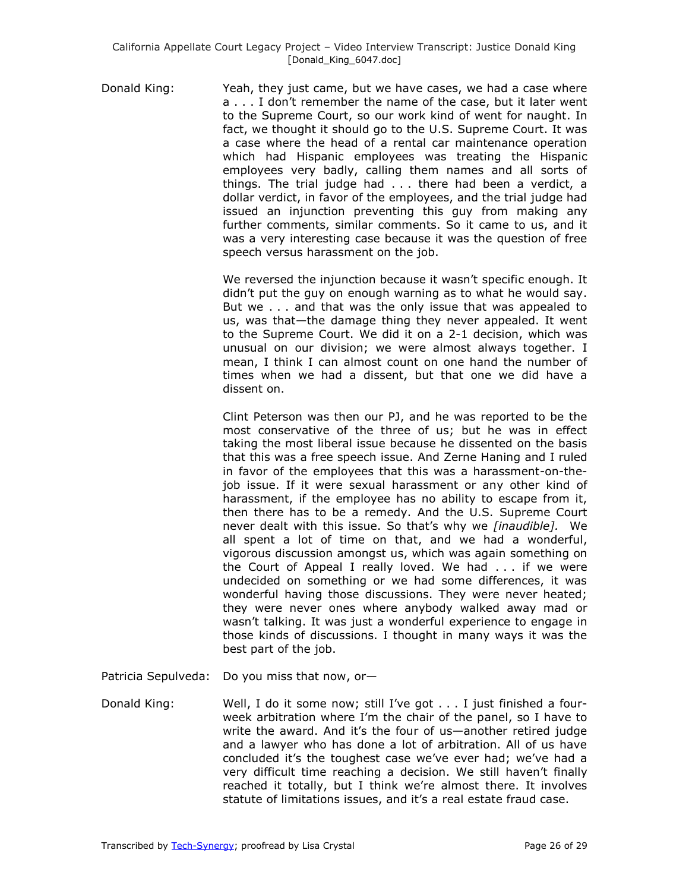Donald King: Yeah, they just came, but we have cases, we had a case where a . . . I don't remember the name of the case, but it later went to the Supreme Court, so our work kind of went for naught. In fact, we thought it should go to the U.S. Supreme Court. It was a case where the head of a rental car maintenance operation which had Hispanic employees was treating the Hispanic employees very badly, calling them names and all sorts of things. The trial judge had . . . there had been a verdict, a dollar verdict, in favor of the employees, and the trial judge had issued an injunction preventing this guy from making any further comments, similar comments. So it came to us, and it was a very interesting case because it was the question of free speech versus harassment on the job.

> We reversed the injunction because it wasn't specific enough. It didn't put the guy on enough warning as to what he would say. But we . . . and that was the only issue that was appealed to us, was that—the damage thing they never appealed. It went to the Supreme Court. We did it on a 2-1 decision, which was unusual on our division; we were almost always together. I mean, I think I can almost count on one hand the number of times when we had a dissent, but that one we did have a dissent on.

> Clint Peterson was then our PJ, and he was reported to be the most conservative of the three of us; but he was in effect taking the most liberal issue because he dissented on the basis that this was a free speech issue. And Zerne Haning and I ruled in favor of the employees that this was a harassment-on-thejob issue. If it were sexual harassment or any other kind of harassment, if the employee has no ability to escape from it, then there has to be a remedy. And the U.S. Supreme Court never dealt with this issue. So that's why we *[inaudible].* We all spent a lot of time on that, and we had a wonderful, vigorous discussion amongst us, which was again something on the Court of Appeal I really loved. We had . . . if we were undecided on something or we had some differences, it was wonderful having those discussions. They were never heated; they were never ones where anybody walked away mad or wasn't talking. It was just a wonderful experience to engage in those kinds of discussions. I thought in many ways it was the best part of the job.

Patricia Sepulveda: Do you miss that now, or—

Donald King: Well, I do it some now; still I've got . . . I just finished a fourweek arbitration where I'm the chair of the panel, so I have to write the award. And it's the four of us—another retired judge and a lawyer who has done a lot of arbitration. All of us have concluded it's the toughest case we've ever had; we've had a very difficult time reaching a decision. We still haven't finally reached it totally, but I think we're almost there. It involves statute of limitations issues, and it's a real estate fraud case.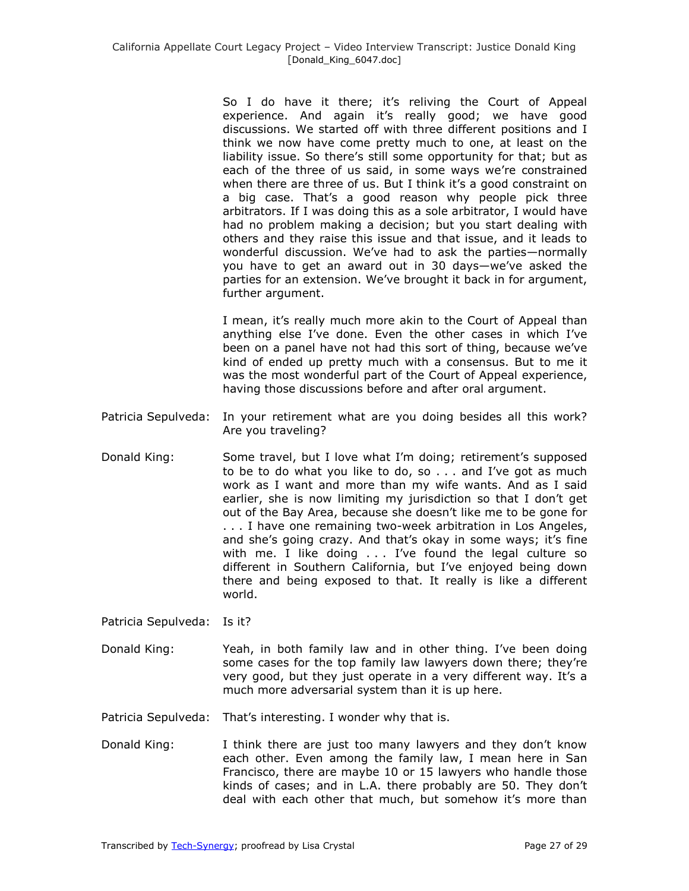So I do have it there; it's reliving the Court of Appeal experience. And again it's really good; we have good discussions. We started off with three different positions and I think we now have come pretty much to one, at least on the liability issue. So there's still some opportunity for that; but as each of the three of us said, in some ways we're constrained when there are three of us. But I think it's a good constraint on a big case. That's a good reason why people pick three arbitrators. If I was doing this as a sole arbitrator, I would have had no problem making a decision; but you start dealing with others and they raise this issue and that issue, and it leads to wonderful discussion. We've had to ask the parties—normally you have to get an award out in 30 days—we've asked the parties for an extension. We've brought it back in for argument, further argument.

I mean, it's really much more akin to the Court of Appeal than anything else I've done. Even the other cases in which I've been on a panel have not had this sort of thing, because we've kind of ended up pretty much with a consensus. But to me it was the most wonderful part of the Court of Appeal experience, having those discussions before and after oral argument.

- Patricia Sepulveda: In your retirement what are you doing besides all this work? Are you traveling?
- Donald King: Some travel, but I love what I'm doing; retirement's supposed to be to do what you like to do, so . . . and I've got as much work as I want and more than my wife wants. And as I said earlier, she is now limiting my jurisdiction so that I don't get out of the Bay Area, because she doesn't like me to be gone for . . . I have one remaining two-week arbitration in Los Angeles, and she's going crazy. And that's okay in some ways; it's fine with me. I like doing . . . I've found the legal culture so different in Southern California, but I've enjoyed being down there and being exposed to that. It really is like a different world.
- Patricia Sepulveda: Is it?
- Donald King: Yeah, in both family law and in other thing. I've been doing some cases for the top family law lawyers down there; they're very good, but they just operate in a very different way. It's a much more adversarial system than it is up here.
- Patricia Sepulveda: That's interesting. I wonder why that is.
- Donald King: I think there are just too many lawyers and they don't know each other. Even among the family law, I mean here in San Francisco, there are maybe 10 or 15 lawyers who handle those kinds of cases; and in L.A. there probably are 50. They don't deal with each other that much, but somehow it's more than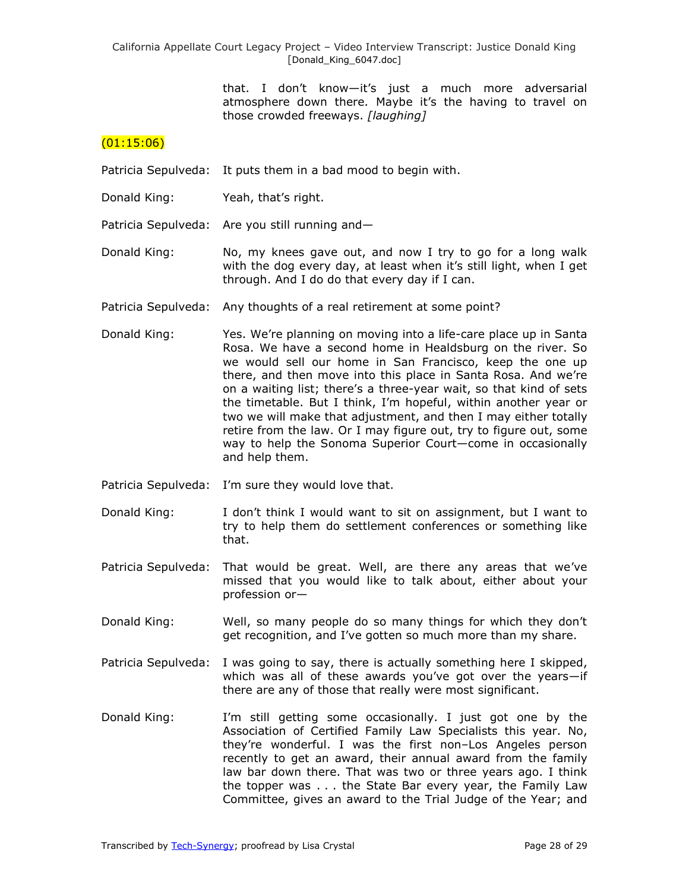> that. I don't know—it's just a much more adversarial atmosphere down there. Maybe it's the having to travel on those crowded freeways. *[laughing]*

#### $(01:15:06)$

Patricia Sepulveda: It puts them in a bad mood to begin with.

- Donald King: Yeah, that's right.
- Patricia Sepulveda: Are you still running and—
- Donald King: No, my knees gave out, and now I try to go for a long walk with the dog every day, at least when it's still light, when I get through. And I do do that every day if I can.
- Patricia Sepulveda: Any thoughts of a real retirement at some point?
- Donald King: Yes. We're planning on moving into a life-care place up in Santa Rosa. We have a second home in Healdsburg on the river. So we would sell our home in San Francisco, keep the one up there, and then move into this place in Santa Rosa. And we're on a waiting list; there's a three-year wait, so that kind of sets the timetable. But I think, I'm hopeful, within another year or two we will make that adjustment, and then I may either totally retire from the law. Or I may figure out, try to figure out, some way to help the Sonoma Superior Court—come in occasionally and help them.
- Patricia Sepulveda: I'm sure they would love that.
- Donald King: I don't think I would want to sit on assignment, but I want to try to help them do settlement conferences or something like that.
- Patricia Sepulveda: That would be great. Well, are there any areas that we've missed that you would like to talk about, either about your profession or—
- Donald King: Well, so many people do so many things for which they don't get recognition, and I've gotten so much more than my share.
- Patricia Sepulveda: I was going to say, there is actually something here I skipped, which was all of these awards you've got over the years—if there are any of those that really were most significant.
- Donald King: I'm still getting some occasionally. I just got one by the Association of Certified Family Law Specialists this year. No, they're wonderful. I was the first non–Los Angeles person recently to get an award, their annual award from the family law bar down there. That was two or three years ago. I think the topper was . . . the State Bar every year, the Family Law Committee, gives an award to the Trial Judge of the Year; and